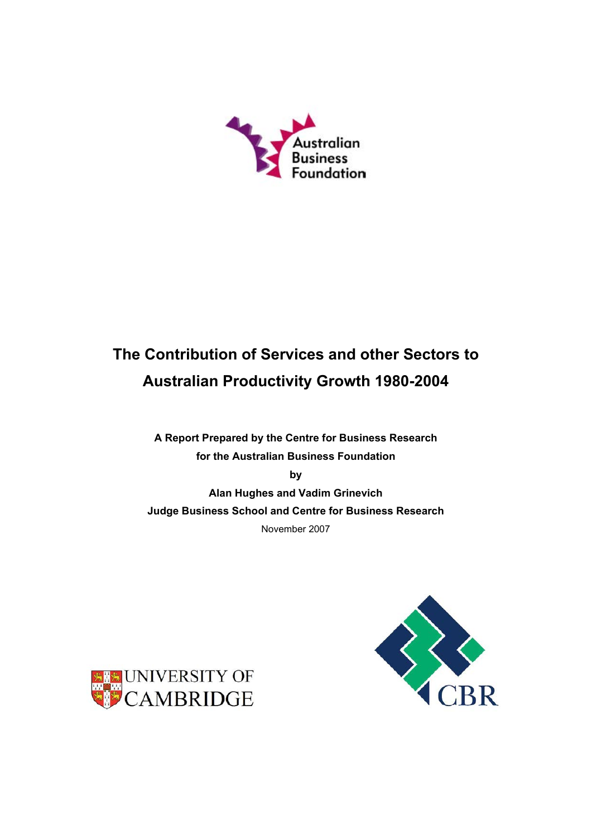

# The Contribution of Services and other Sectors to Australian Productivity Growth 1980-2004

A Report Prepared by the Centre for Business Research for the Australian Business Foundation

by

Alan Hughes and Vadim Grinevich Judge Business School and Centre for Business Research November 2007



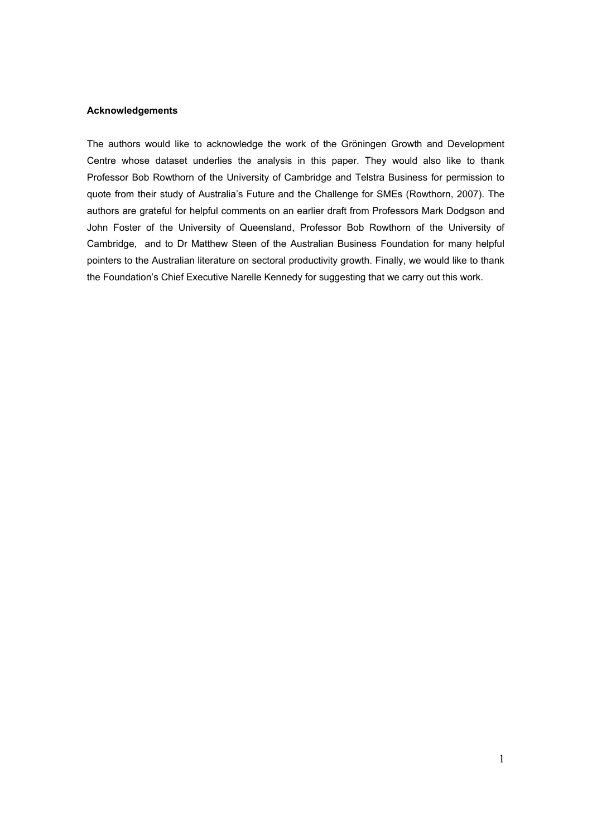### Acknowledgements

The authors would like to acknowledge the work of the Gröningen Growth and Development Centre whose dataset underlies the analysis in this paper. They would also like to thank Professor Bob Rowthorn of the University of Cambridge and Telstra Business for permission to quote from their study of Australia's Future and the Challenge for SMEs (Rowthorn, 2007). The authors are grateful for helpful comments on an earlier draft from Professors Mark Dodgson and John Foster of the University of Queensland, Professor Bob Rowthorn of the University of Cambridge, and to Dr Matthew Steen of the Australian Business Foundation for many helpful pointers to the Australian literature on sectoral productivity growth. Finally, we would like to thank the Foundation's Chief Executive Narelle Kennedy for suggesting that we carry out this work.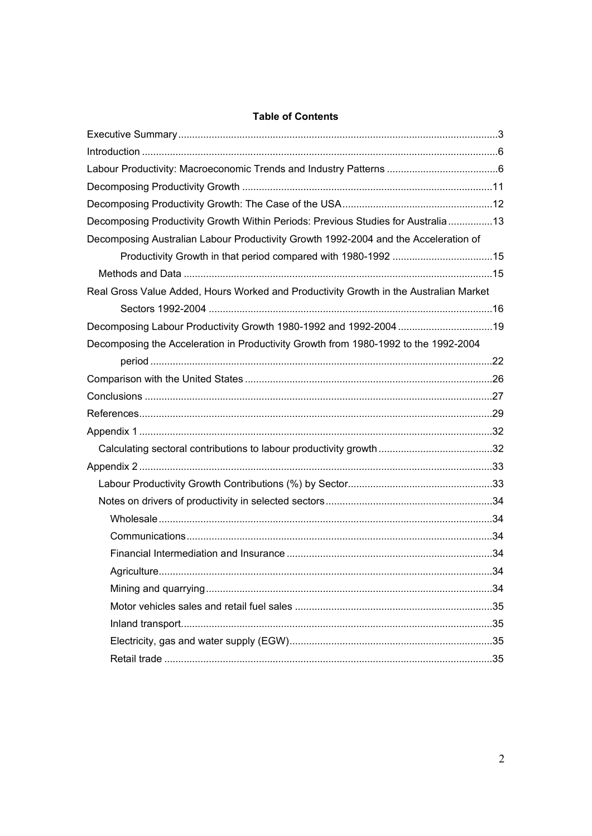## **Table of Contents**

| Decomposing Productivity Growth Within Periods: Previous Studies for Australia13      |     |
|---------------------------------------------------------------------------------------|-----|
| Decomposing Australian Labour Productivity Growth 1992-2004 and the Acceleration of   |     |
| Productivity Growth in that period compared with 1980-1992 15                         |     |
|                                                                                       |     |
| Real Gross Value Added, Hours Worked and Productivity Growth in the Australian Market |     |
|                                                                                       |     |
| Decomposing Labour Productivity Growth 1980-1992 and 1992-2004 19                     |     |
| Decomposing the Acceleration in Productivity Growth from 1980-1992 to the 1992-2004   |     |
|                                                                                       |     |
|                                                                                       |     |
|                                                                                       |     |
|                                                                                       |     |
|                                                                                       |     |
|                                                                                       |     |
|                                                                                       |     |
|                                                                                       |     |
|                                                                                       |     |
|                                                                                       |     |
|                                                                                       |     |
|                                                                                       |     |
| Agriculture.                                                                          | .34 |
|                                                                                       |     |
|                                                                                       |     |
|                                                                                       |     |
|                                                                                       |     |
|                                                                                       |     |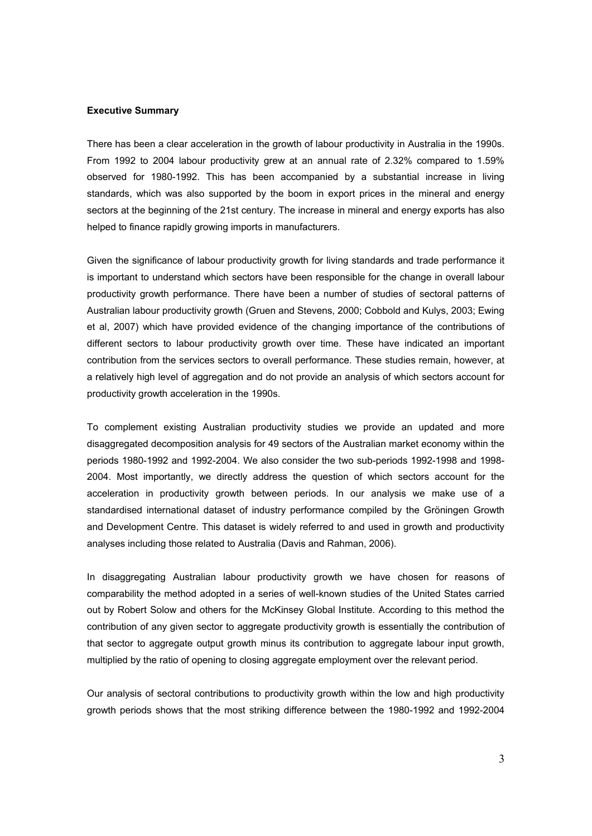### Executive Summary

There has been a clear acceleration in the growth of labour productivity in Australia in the 1990s. From 1992 to 2004 labour productivity grew at an annual rate of 2.32% compared to 1.59% observed for 1980-1992. This has been accompanied by a substantial increase in living standards, which was also supported by the boom in export prices in the mineral and energy sectors at the beginning of the 21st century. The increase in mineral and energy exports has also helped to finance rapidly growing imports in manufacturers.

Given the significance of labour productivity growth for living standards and trade performance it is important to understand which sectors have been responsible for the change in overall labour productivity growth performance. There have been a number of studies of sectoral patterns of Australian labour productivity growth (Gruen and Stevens, 2000; Cobbold and Kulys, 2003; Ewing et al, 2007) which have provided evidence of the changing importance of the contributions of different sectors to labour productivity growth over time. These have indicated an important contribution from the services sectors to overall performance. These studies remain, however, at a relatively high level of aggregation and do not provide an analysis of which sectors account for productivity growth acceleration in the 1990s.

To complement existing Australian productivity studies we provide an updated and more disaggregated decomposition analysis for 49 sectors of the Australian market economy within the periods 1980-1992 and 1992-2004. We also consider the two sub-periods 1992-1998 and 1998- 2004. Most importantly, we directly address the question of which sectors account for the acceleration in productivity growth between periods. In our analysis we make use of a standardised international dataset of industry performance compiled by the Gröningen Growth and Development Centre. This dataset is widely referred to and used in growth and productivity analyses including those related to Australia (Davis and Rahman, 2006).

In disaggregating Australian labour productivity growth we have chosen for reasons of comparability the method adopted in a series of well-known studies of the United States carried out by Robert Solow and others for the McKinsey Global Institute. According to this method the contribution of any given sector to aggregate productivity growth is essentially the contribution of that sector to aggregate output growth minus its contribution to aggregate labour input growth, multiplied by the ratio of opening to closing aggregate employment over the relevant period.

Our analysis of sectoral contributions to productivity growth within the low and high productivity growth periods shows that the most striking difference between the 1980-1992 and 1992-2004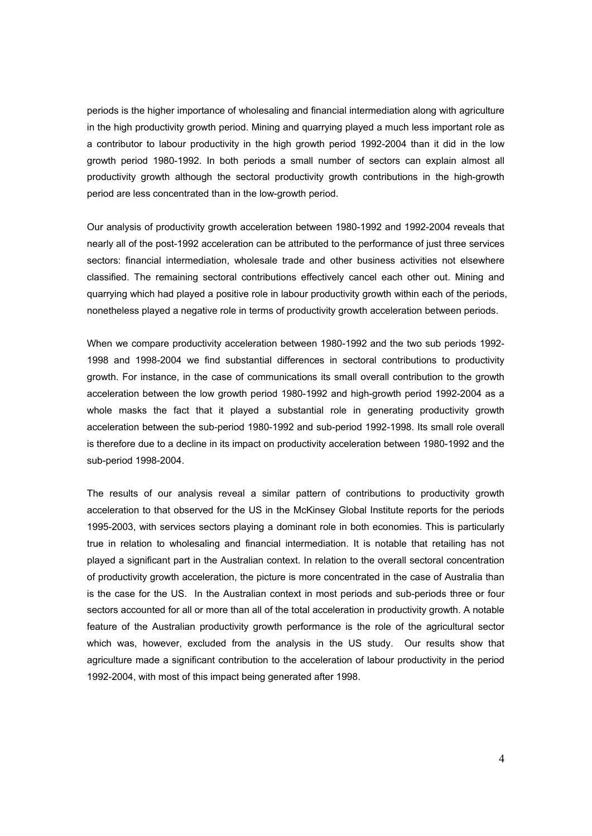periods is the higher importance of wholesaling and financial intermediation along with agriculture in the high productivity growth period. Mining and quarrying played a much less important role as a contributor to labour productivity in the high growth period 1992-2004 than it did in the low growth period 1980-1992. In both periods a small number of sectors can explain almost all productivity growth although the sectoral productivity growth contributions in the high-growth period are less concentrated than in the low-growth period.

Our analysis of productivity growth acceleration between 1980-1992 and 1992-2004 reveals that nearly all of the post-1992 acceleration can be attributed to the performance of just three services sectors: financial intermediation, wholesale trade and other business activities not elsewhere classified. The remaining sectoral contributions effectively cancel each other out. Mining and quarrying which had played a positive role in labour productivity growth within each of the periods, nonetheless played a negative role in terms of productivity growth acceleration between periods.

When we compare productivity acceleration between 1980-1992 and the two sub periods 1992- 1998 and 1998-2004 we find substantial differences in sectoral contributions to productivity growth. For instance, in the case of communications its small overall contribution to the growth acceleration between the low growth period 1980-1992 and high-growth period 1992-2004 as a whole masks the fact that it played a substantial role in generating productivity growth acceleration between the sub-period 1980-1992 and sub-period 1992-1998. Its small role overall is therefore due to a decline in its impact on productivity acceleration between 1980-1992 and the sub-period 1998-2004.

The results of our analysis reveal a similar pattern of contributions to productivity growth acceleration to that observed for the US in the McKinsey Global Institute reports for the periods 1995-2003, with services sectors playing a dominant role in both economies. This is particularly true in relation to wholesaling and financial intermediation. It is notable that retailing has not played a significant part in the Australian context. In relation to the overall sectoral concentration of productivity growth acceleration, the picture is more concentrated in the case of Australia than is the case for the US. In the Australian context in most periods and sub-periods three or four sectors accounted for all or more than all of the total acceleration in productivity growth. A notable feature of the Australian productivity growth performance is the role of the agricultural sector which was, however, excluded from the analysis in the US study. Our results show that agriculture made a significant contribution to the acceleration of labour productivity in the period 1992-2004, with most of this impact being generated after 1998.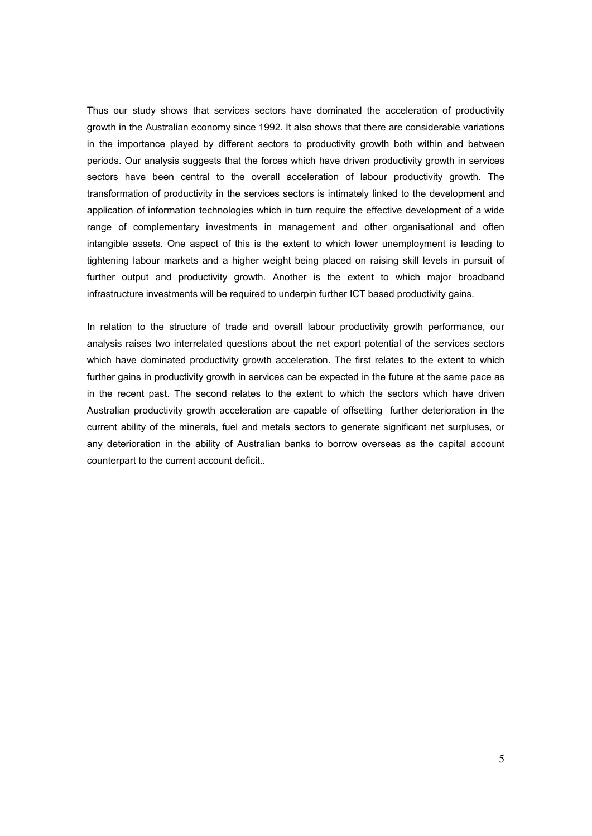Thus our study shows that services sectors have dominated the acceleration of productivity growth in the Australian economy since 1992. It also shows that there are considerable variations in the importance played by different sectors to productivity growth both within and between periods. Our analysis suggests that the forces which have driven productivity growth in services sectors have been central to the overall acceleration of labour productivity growth. The transformation of productivity in the services sectors is intimately linked to the development and application of information technologies which in turn require the effective development of a wide range of complementary investments in management and other organisational and often intangible assets. One aspect of this is the extent to which lower unemployment is leading to tightening labour markets and a higher weight being placed on raising skill levels in pursuit of further output and productivity growth. Another is the extent to which major broadband infrastructure investments will be required to underpin further ICT based productivity gains.

In relation to the structure of trade and overall labour productivity growth performance, our analysis raises two interrelated questions about the net export potential of the services sectors which have dominated productivity growth acceleration. The first relates to the extent to which further gains in productivity growth in services can be expected in the future at the same pace as in the recent past. The second relates to the extent to which the sectors which have driven Australian productivity growth acceleration are capable of offsetting further deterioration in the current ability of the minerals, fuel and metals sectors to generate significant net surpluses, or any deterioration in the ability of Australian banks to borrow overseas as the capital account counterpart to the current account deficit..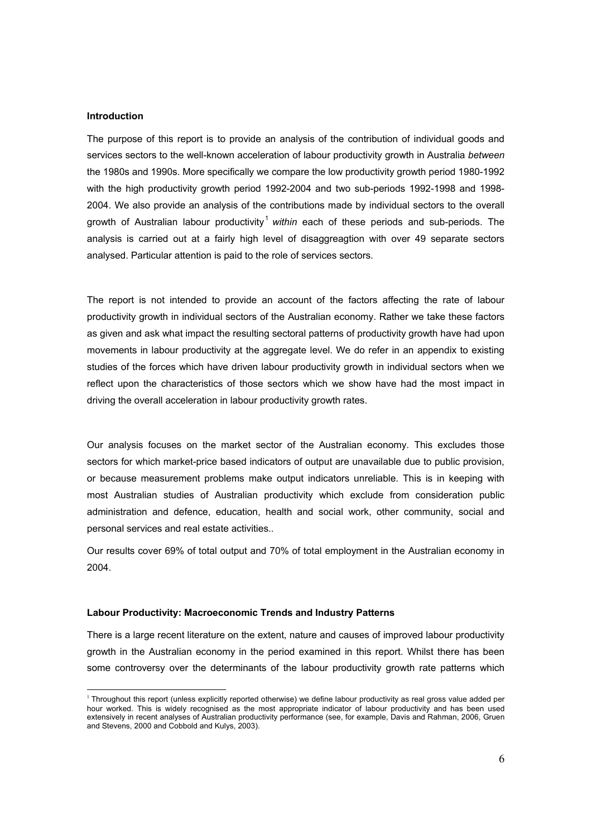### Introduction

 $\overline{a}$ 

The purpose of this report is to provide an analysis of the contribution of individual goods and services sectors to the well-known acceleration of labour productivity growth in Australia between the 1980s and 1990s. More specifically we compare the low productivity growth period 1980-1992 with the high productivity growth period 1992-2004 and two sub-periods 1992-1998 and 1998- 2004. We also provide an analysis of the contributions made by individual sectors to the overall growth of Australian labour productivity<sup>1</sup> within each of these periods and sub-periods. The analysis is carried out at a fairly high level of disaggreagtion with over 49 separate sectors analysed. Particular attention is paid to the role of services sectors.

The report is not intended to provide an account of the factors affecting the rate of labour productivity growth in individual sectors of the Australian economy. Rather we take these factors as given and ask what impact the resulting sectoral patterns of productivity growth have had upon movements in labour productivity at the aggregate level. We do refer in an appendix to existing studies of the forces which have driven labour productivity growth in individual sectors when we reflect upon the characteristics of those sectors which we show have had the most impact in driving the overall acceleration in labour productivity growth rates.

Our analysis focuses on the market sector of the Australian economy. This excludes those sectors for which market-price based indicators of output are unavailable due to public provision, or because measurement problems make output indicators unreliable. This is in keeping with most Australian studies of Australian productivity which exclude from consideration public administration and defence, education, health and social work, other community, social and personal services and real estate activities..

Our results cover 69% of total output and 70% of total employment in the Australian economy in 2004.

### Labour Productivity: Macroeconomic Trends and Industry Patterns

There is a large recent literature on the extent, nature and causes of improved labour productivity growth in the Australian economy in the period examined in this report. Whilst there has been some controversy over the determinants of the labour productivity growth rate patterns which

 $1$  Throughout this report (unless explicitly reported otherwise) we define labour productivity as real gross value added per hour worked. This is widely recognised as the most appropriate indicator of labour productivity and has been used extensively in recent analyses of Australian productivity performance (see, for example, Davis and Rahman, 2006, Gruen and Stevens, 2000 and Cobbold and Kulys, 2003).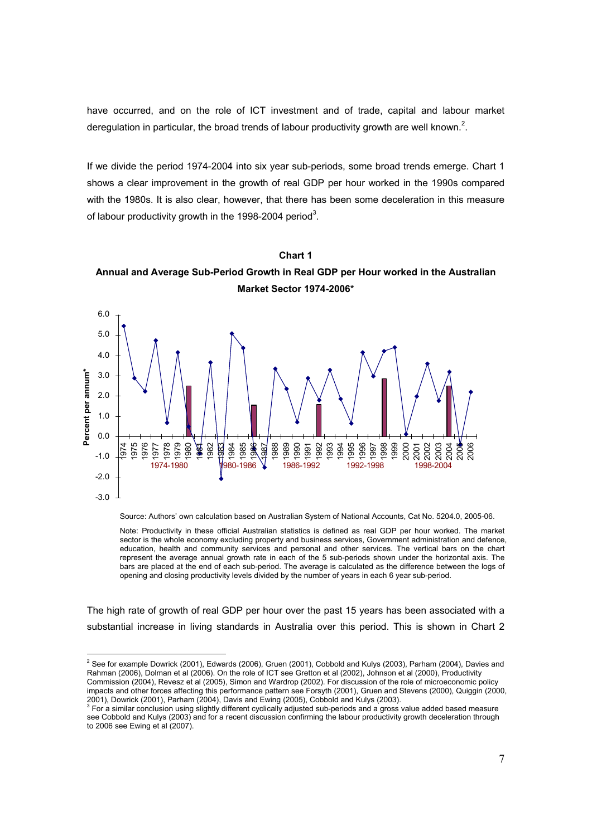have occurred, and on the role of ICT investment and of trade, capital and labour market deregulation in particular, the broad trends of labour productivity growth are well known.<sup>2</sup>.

If we divide the period 1974-2004 into six year sub-periods, some broad trends emerge. Chart 1 shows a clear improvement in the growth of real GDP per hour worked in the 1990s compared with the 1980s. It is also clear, however, that there has been some deceleration in this measure of labour productivity growth in the 1998-2004 period<sup>3</sup>.





Source: Authors' own calculation based on Australian System of National Accounts, Cat No. 5204.0, 2005-06.

Note: Productivity in these official Australian statistics is defined as real GDP per hour worked. The market sector is the whole economy excluding property and business services, Government administration and defence, education, health and community services and personal and other services. The vertical bars on the chart represent the average annual growth rate in each of the 5 sub-periods shown under the horizontal axis. The bars are placed at the end of each sub-period. The average is calculated as the difference between the logs of opening and closing productivity levels divided by the number of years in each 6 year sub-period.

The high rate of growth of real GDP per hour over the past 15 years has been associated with a substantial increase in living standards in Australia over this period. This is shown in Chart 2

 2 See for example Dowrick (2001), Edwards (2006), Gruen (2001), Cobbold and Kulys (2003), Parham (2004), Davies and Rahman (2006), Dolman et al (2006). On the role of ICT see Gretton et al (2002), Johnson et al (2000), Productivity Commission (2004), Revesz et al (2005), Simon and Wardrop (2002). For discussion of the role of microeconomic policy impacts and other forces affecting this performance pattern see Forsyth (2001), Gruen and Stevens (2000), Quiggin (2000,

<sup>2001),</sup> Dowrick (2001), Parham (2004), Davis and Ewing (2005), Cobbold and Kulys (2003).<br><sup>3</sup> For a similar conclusion using slightly different cyclically adjusted sub-periods and a gross value added based measure see Cobbold and Kulys (2003) and for a recent discussion confirming the labour productivity growth deceleration through to 2006 see Ewing et al (2007).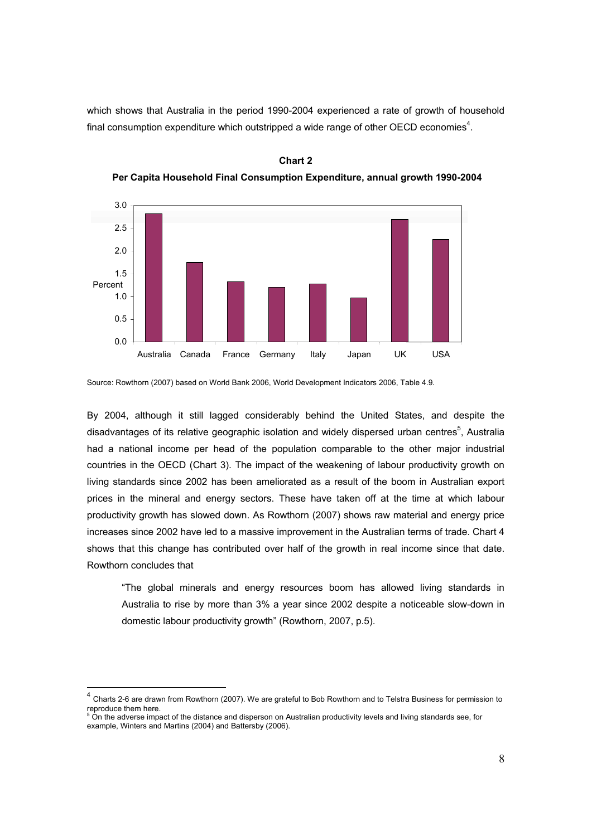which shows that Australia in the period 1990-2004 experienced a rate of growth of household final consumption expenditure which outstripped a wide range of other OECD economies<sup>4</sup>.



Chart 2 Per Capita Household Final Consumption Expenditure, annual growth 1990-2004

Source: Rowthorn (2007) based on World Bank 2006, World Development Indicators 2006, Table 4.9.

By 2004, although it still lagged considerably behind the United States, and despite the disadvantages of its relative geographic isolation and widely dispersed urban centres<sup>5</sup>, Australia had a national income per head of the population comparable to the other major industrial countries in the OECD (Chart 3). The impact of the weakening of labour productivity growth on living standards since 2002 has been ameliorated as a result of the boom in Australian export prices in the mineral and energy sectors. These have taken off at the time at which labour productivity growth has slowed down. As Rowthorn (2007) shows raw material and energy price increases since 2002 have led to a massive improvement in the Australian terms of trade. Chart 4 shows that this change has contributed over half of the growth in real income since that date. Rowthorn concludes that

"The global minerals and energy resources boom has allowed living standards in Australia to rise by more than 3% a year since 2002 despite a noticeable slow-down in domestic labour productivity growth" (Rowthorn, 2007, p.5).

 $\overline{a}$ 

<sup>4</sup> Charts 2-6 are drawn from Rowthorn (2007). We are grateful to Bob Rowthorn and to Telstra Business for permission to reproduce them here.<br><sup>5</sup> On the adverse impact of the distance and disperson on Australian productivity levels and living standards see, for

example, Winters and Martins (2004) and Battersby (2006).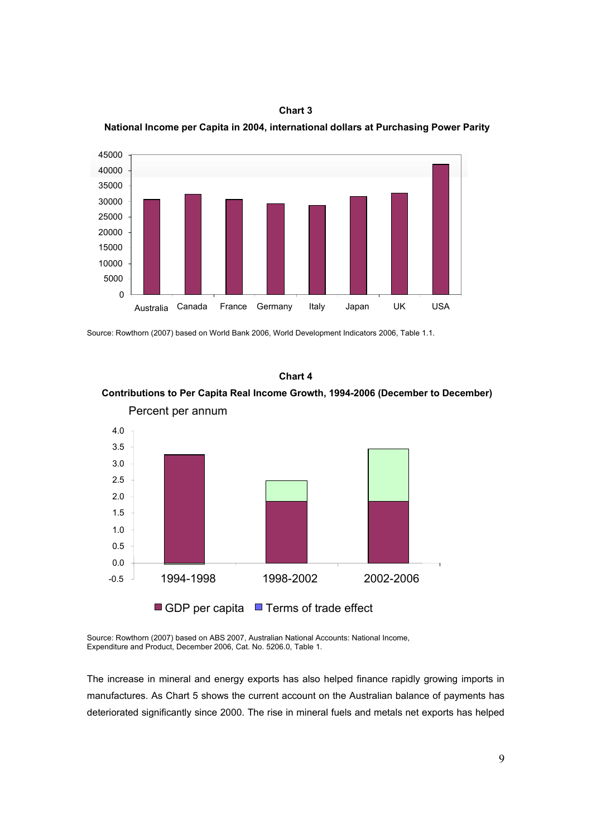

Chart 3 National Income per Capita in 2004, international dollars at Purchasing Power Parity

Source: Rowthorn (2007) based on World Bank 2006, World Development Indicators 2006, Table 1.1.

### Chart 4

## Contributions to Per Capita Real Income Growth, 1994-2006 (December to December) Percent per annum



Source: Rowthorn (2007) based on ABS 2007, Australian National Accounts: National Income, Expenditure and Product, December 2006, Cat. No. 5206.0, Table 1.

The increase in mineral and energy exports has also helped finance rapidly growing imports in manufactures. As Chart 5 shows the current account on the Australian balance of payments has deteriorated significantly since 2000. The rise in mineral fuels and metals net exports has helped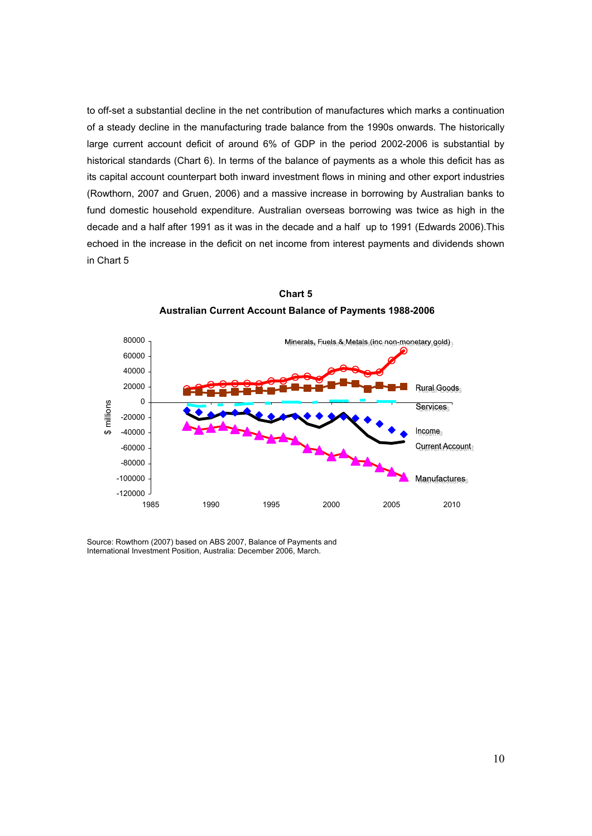to off-set a substantial decline in the net contribution of manufactures which marks a continuation of a steady decline in the manufacturing trade balance from the 1990s onwards. The historically large current account deficit of around 6% of GDP in the period 2002-2006 is substantial by historical standards (Chart 6). In terms of the balance of payments as a whole this deficit has as its capital account counterpart both inward investment flows in mining and other export industries (Rowthorn, 2007 and Gruen, 2006) and a massive increase in borrowing by Australian banks to fund domestic household expenditure. Australian overseas borrowing was twice as high in the decade and a half after 1991 as it was in the decade and a half up to 1991 (Edwards 2006).This echoed in the increase in the deficit on net income from interest payments and dividends shown in Chart 5



Chart 5 Australian Current Account Balance of Payments 1988-2006

Source: Rowthorn (2007) based on ABS 2007, Balance of Payments and International Investment Position, Australia: December 2006, March.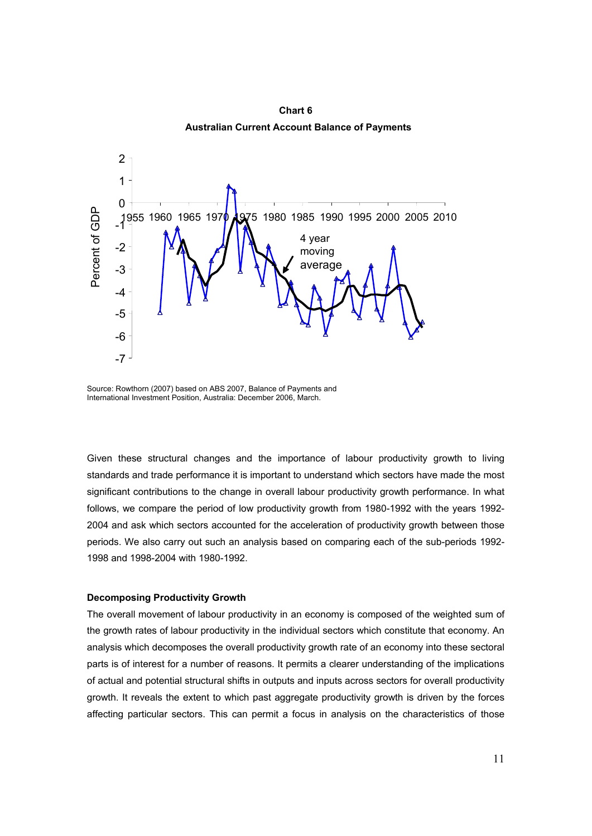

Chart 6 Australian Current Account Balance of Payments

Source: Rowthorn (2007) based on ABS 2007, Balance of Payments and International Investment Position, Australia: December 2006, March.

Given these structural changes and the importance of labour productivity growth to living standards and trade performance it is important to understand which sectors have made the most significant contributions to the change in overall labour productivity growth performance. In what follows, we compare the period of low productivity growth from 1980-1992 with the years 1992- 2004 and ask which sectors accounted for the acceleration of productivity growth between those periods. We also carry out such an analysis based on comparing each of the sub-periods 1992- 1998 and 1998-2004 with 1980-1992.

### Decomposing Productivity Growth

The overall movement of labour productivity in an economy is composed of the weighted sum of the growth rates of labour productivity in the individual sectors which constitute that economy. An analysis which decomposes the overall productivity growth rate of an economy into these sectoral parts is of interest for a number of reasons. It permits a clearer understanding of the implications of actual and potential structural shifts in outputs and inputs across sectors for overall productivity growth. It reveals the extent to which past aggregate productivity growth is driven by the forces affecting particular sectors. This can permit a focus in analysis on the characteristics of those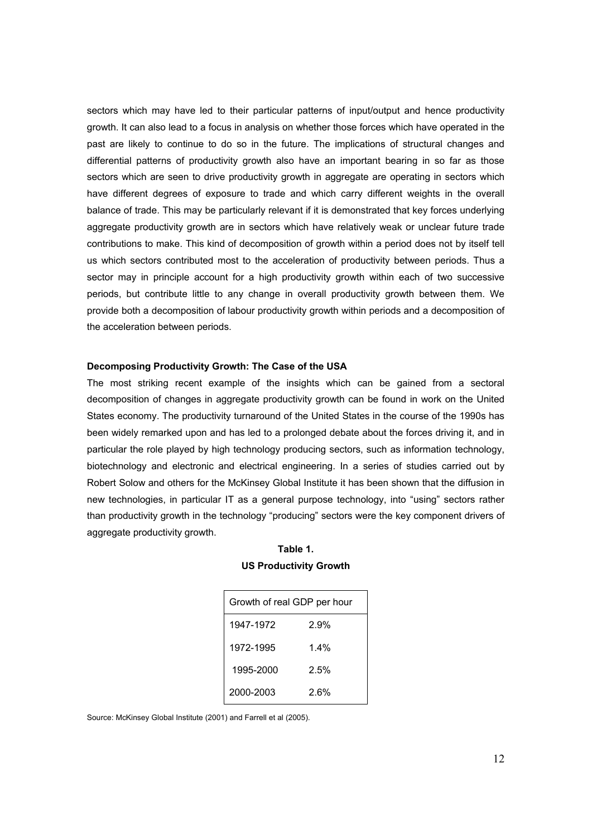sectors which may have led to their particular patterns of input/output and hence productivity growth. It can also lead to a focus in analysis on whether those forces which have operated in the past are likely to continue to do so in the future. The implications of structural changes and differential patterns of productivity growth also have an important bearing in so far as those sectors which are seen to drive productivity growth in aggregate are operating in sectors which have different degrees of exposure to trade and which carry different weights in the overall balance of trade. This may be particularly relevant if it is demonstrated that key forces underlying aggregate productivity growth are in sectors which have relatively weak or unclear future trade contributions to make. This kind of decomposition of growth within a period does not by itself tell us which sectors contributed most to the acceleration of productivity between periods. Thus a sector may in principle account for a high productivity growth within each of two successive periods, but contribute little to any change in overall productivity growth between them. We provide both a decomposition of labour productivity growth within periods and a decomposition of the acceleration between periods.

### Decomposing Productivity Growth: The Case of the USA

The most striking recent example of the insights which can be gained from a sectoral decomposition of changes in aggregate productivity growth can be found in work on the United States economy. The productivity turnaround of the United States in the course of the 1990s has been widely remarked upon and has led to a prolonged debate about the forces driving it, and in particular the role played by high technology producing sectors, such as information technology, biotechnology and electronic and electrical engineering. In a series of studies carried out by Robert Solow and others for the McKinsey Global Institute it has been shown that the diffusion in new technologies, in particular IT as a general purpose technology, into "using" sectors rather than productivity growth in the technology "producing" sectors were the key component drivers of aggregate productivity growth.

| <b>US Productivity Growth</b> |
|-------------------------------|
|                               |

Table 1.

| Growth of real GDP per hour |         |  |  |  |  |  |  |
|-----------------------------|---------|--|--|--|--|--|--|
| 1947-1972                   | 2.9%    |  |  |  |  |  |  |
| 1972-1995                   | $1.4\%$ |  |  |  |  |  |  |
| 1995-2000                   | 2.5%    |  |  |  |  |  |  |
| 2000-2003                   | 2 6%    |  |  |  |  |  |  |

Source: McKinsey Global Institute (2001) and Farrell et al (2005).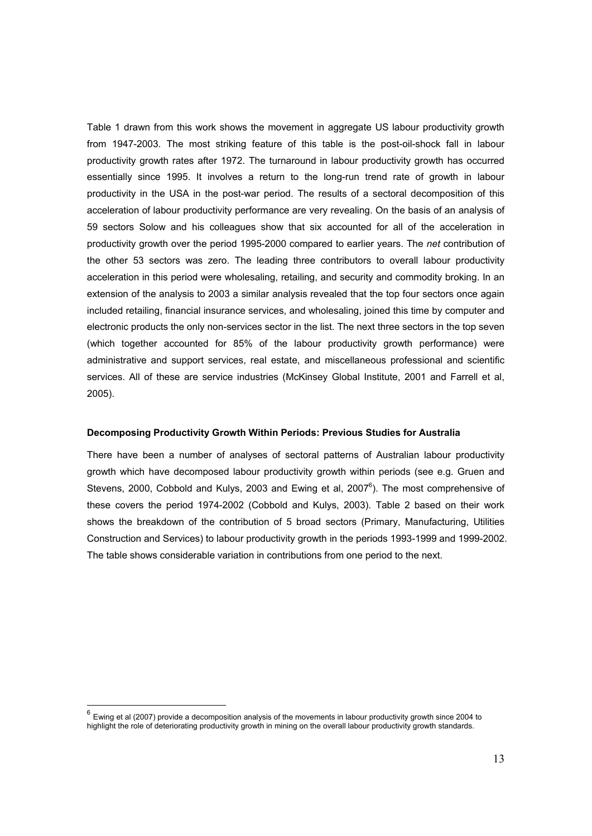Table 1 drawn from this work shows the movement in aggregate US labour productivity growth from 1947-2003. The most striking feature of this table is the post-oil-shock fall in labour productivity growth rates after 1972. The turnaround in labour productivity growth has occurred essentially since 1995. It involves a return to the long-run trend rate of growth in labour productivity in the USA in the post-war period. The results of a sectoral decomposition of this acceleration of labour productivity performance are very revealing. On the basis of an analysis of 59 sectors Solow and his colleagues show that six accounted for all of the acceleration in productivity growth over the period 1995-2000 compared to earlier years. The net contribution of the other 53 sectors was zero. The leading three contributors to overall labour productivity acceleration in this period were wholesaling, retailing, and security and commodity broking. In an extension of the analysis to 2003 a similar analysis revealed that the top four sectors once again included retailing, financial insurance services, and wholesaling, joined this time by computer and electronic products the only non-services sector in the list. The next three sectors in the top seven (which together accounted for 85% of the labour productivity growth performance) were administrative and support services, real estate, and miscellaneous professional and scientific services. All of these are service industries (McKinsey Global Institute, 2001 and Farrell et al, 2005).

### Decomposing Productivity Growth Within Periods: Previous Studies for Australia

There have been a number of analyses of sectoral patterns of Australian labour productivity growth which have decomposed labour productivity growth within periods (see e.g. Gruen and Stevens, 2000, Cobbold and Kulys, 2003 and Ewing et al, 2007 $^6$ ). The most comprehensive of these covers the period 1974-2002 (Cobbold and Kulys, 2003). Table 2 based on their work shows the breakdown of the contribution of 5 broad sectors (Primary, Manufacturing, Utilities Construction and Services) to labour productivity growth in the periods 1993-1999 and 1999-2002. The table shows considerable variation in contributions from one period to the next.

 6 Ewing et al (2007) provide a decomposition analysis of the movements in labour productivity growth since 2004 to highlight the role of deteriorating productivity growth in mining on the overall labour productivity growth standards.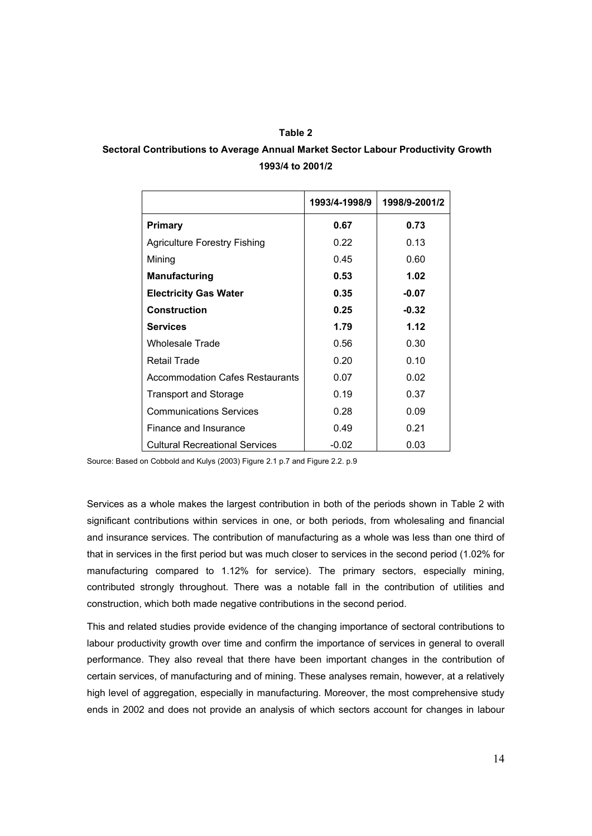### Table 2

## Sectoral Contributions to Average Annual Market Sector Labour Productivity Growth 1993/4 to 2001/2

|                                        | 1993/4-1998/9 | 1998/9-2001/2 |
|----------------------------------------|---------------|---------------|
| <b>Primary</b>                         | 0.67          | 0.73          |
| Agriculture Forestry Fishing           | 0.22          | 0.13          |
| Mining                                 | 0.45          | 0.60          |
| <b>Manufacturing</b>                   | 0.53          | 1.02          |
| <b>Electricity Gas Water</b>           | 0.35          | $-0.07$       |
| <b>Construction</b>                    | 0.25          | $-0.32$       |
| <b>Services</b>                        | 1.79          | 1.12          |
| <b>Wholesale Trade</b>                 | 0.56          | 0.30          |
| <b>Retail Trade</b>                    | 0.20          | 0.10          |
| <b>Accommodation Cafes Restaurants</b> | 0.07          | 0.02          |
| <b>Transport and Storage</b>           | 0.19          | 0.37          |
| <b>Communications Services</b>         | 0.28          | 0.09          |
| Finance and Insurance                  | 0.49          | 0.21          |
| <b>Cultural Recreational Services</b>  | $-0.02$       | 0.03          |

Source: Based on Cobbold and Kulys (2003) Figure 2.1 p.7 and Figure 2.2. p.9

Services as a whole makes the largest contribution in both of the periods shown in Table 2 with significant contributions within services in one, or both periods, from wholesaling and financial and insurance services. The contribution of manufacturing as a whole was less than one third of that in services in the first period but was much closer to services in the second period (1.02% for manufacturing compared to 1.12% for service). The primary sectors, especially mining, contributed strongly throughout. There was a notable fall in the contribution of utilities and construction, which both made negative contributions in the second period.

This and related studies provide evidence of the changing importance of sectoral contributions to labour productivity growth over time and confirm the importance of services in general to overall performance. They also reveal that there have been important changes in the contribution of certain services, of manufacturing and of mining. These analyses remain, however, at a relatively high level of aggregation, especially in manufacturing. Moreover, the most comprehensive study ends in 2002 and does not provide an analysis of which sectors account for changes in labour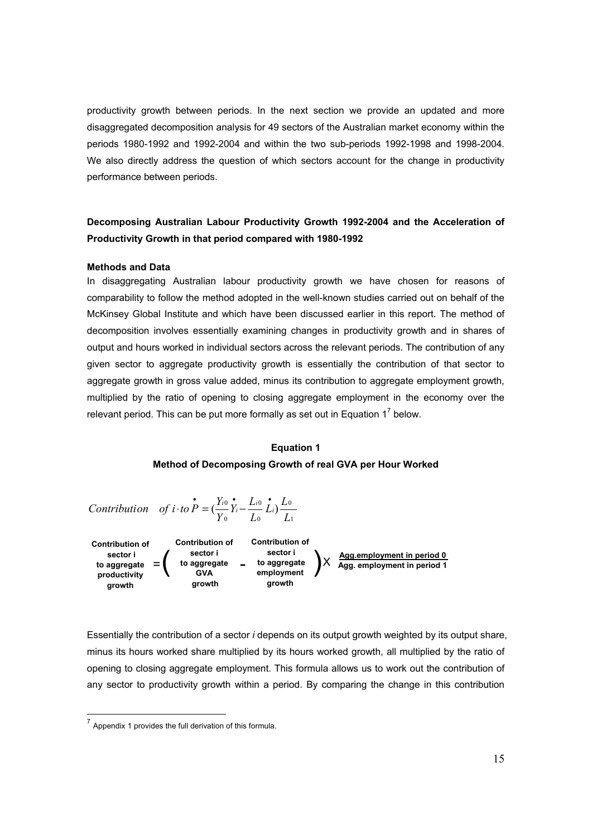productivity growth between periods. In the next section we provide an updated and more disaggregated decomposition analysis for 49 sectors of the Australian market economy within the periods 1980-1992 and 1992-2004 and within the two sub-periods 1992-1998 and 1998-2004. We also directly address the question of which sectors account for the change in productivity performance between periods.

## Decomposing Australian Labour Productivity Growth 1992-2004 and the Acceleration of Productivity Growth in that period compared with 1980-1992

### Methods and Data

In disaggregating Australian labour productivity growth we have chosen for reasons of comparability to follow the method adopted in the well-known studies carried out on behalf of the McKinsey Global Institute and which have been discussed earlier in this report. The method of decomposition involves essentially examining changes in productivity growth and in shares of output and hours worked in individual sectors across the relevant periods. The contribution of any given sector to aggregate productivity growth is essentially the contribution of that sector to aggregate growth in gross value added, minus its contribution to aggregate employment growth, multiplied by the ratio of opening to closing aggregate employment in the economy over the relevant period. This can be put more formally as set out in Equation 1<sup>7</sup> below.

### Equation 1 Method of Decomposing Growth of real GVA per Hour Worked

*Contribution* of 
$$
i \cdot to \vec{P} = (\frac{Y_{i0}}{Y_0} \vec{Y}_i - \frac{L_{i0}}{L_0} \vec{L}_i) \frac{L_0}{L_1}
$$

Contribution of sector i to aggregate productivity growth Contribution of sector i to aggregate GVA growth Contribution of sector i to aggregate employment growth Agg.employment in period 0  $\chi$   $\frac{N}{\text{Agg. employment in period 1}}$ 

Essentially the contribution of a sector i depends on its output growth weighted by its output share, minus its hours worked share multiplied by its hours worked growth, all multiplied by the ratio of opening to closing aggregate employment. This formula allows us to work out the contribution of any sector to productivity growth within a period. By comparing the change in this contribution

 7 Appendix 1 provides the full derivation of this formula.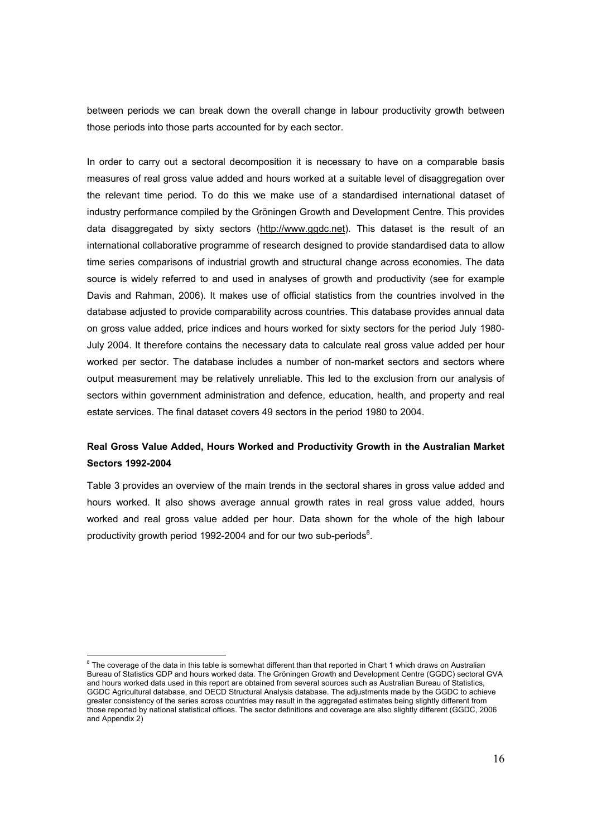between periods we can break down the overall change in labour productivity growth between those periods into those parts accounted for by each sector.

In order to carry out a sectoral decomposition it is necessary to have on a comparable basis measures of real gross value added and hours worked at a suitable level of disaggregation over the relevant time period. To do this we make use of a standardised international dataset of industry performance compiled by the Gröningen Growth and Development Centre. This provides data disaggregated by sixty sectors (http://www.ggdc.net). This dataset is the result of an international collaborative programme of research designed to provide standardised data to allow time series comparisons of industrial growth and structural change across economies. The data source is widely referred to and used in analyses of growth and productivity (see for example Davis and Rahman, 2006). It makes use of official statistics from the countries involved in the database adjusted to provide comparability across countries. This database provides annual data on gross value added, price indices and hours worked for sixty sectors for the period July 1980- July 2004. It therefore contains the necessary data to calculate real gross value added per hour worked per sector. The database includes a number of non-market sectors and sectors where output measurement may be relatively unreliable. This led to the exclusion from our analysis of sectors within government administration and defence, education, health, and property and real estate services. The final dataset covers 49 sectors in the period 1980 to 2004.

## Real Gross Value Added, Hours Worked and Productivity Growth in the Australian Market Sectors 1992-2004

Table 3 provides an overview of the main trends in the sectoral shares in gross value added and hours worked. It also shows average annual growth rates in real gross value added, hours worked and real gross value added per hour. Data shown for the whole of the high labour productivity growth period 1992-2004 and for our two sub-periods<sup>8</sup>.

 8 The coverage of the data in this table is somewhat different than that reported in Chart 1 which draws on Australian Bureau of Statistics GDP and hours worked data. The Gröningen Growth and Development Centre (GGDC) sectoral GVA and hours worked data used in this report are obtained from several sources such as Australian Bureau of Statistics, GGDC Agricultural database, and OECD Structural Analysis database. The adjustments made by the GGDC to achieve greater consistency of the series across countries may result in the aggregated estimates being slightly different from those reported by national statistical offices. The sector definitions and coverage are also slightly different (GGDC, 2006 and Appendix 2)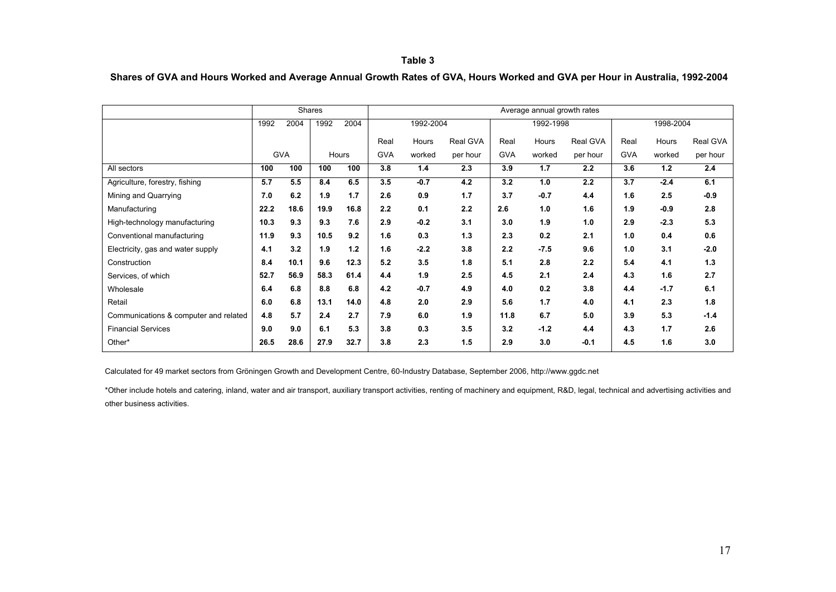### Table 3

Shares of GVA and Hours Worked and Average Annual Growth Rates of GVA, Hours Worked and GVA per Hour in Australia, 1992-2004

|                                       | <b>Shares</b> |            |      | Average annual growth rates |            |           |          |            |           |          |            |           |          |
|---------------------------------------|---------------|------------|------|-----------------------------|------------|-----------|----------|------------|-----------|----------|------------|-----------|----------|
|                                       | 1992          | 2004       | 1992 | 2004                        |            | 1992-2004 |          |            | 1992-1998 |          |            | 1998-2004 |          |
|                                       |               |            |      |                             | Real       | Hours     | Real GVA | Real       | Hours     | Real GVA | Real       | Hours     | Real GVA |
|                                       |               | <b>GVA</b> |      | Hours                       | <b>GVA</b> | worked    | per hour | <b>GVA</b> | worked    | per hour | <b>GVA</b> | worked    | per hour |
| All sectors                           | 100           | 100        | 100  | 100                         | 3.8        | 1.4       | 2.3      | 3.9        | 1.7       | 2.2      | 3.6        | $1.2$     | 2.4      |
| Agriculture, forestry, fishing        | 5.7           | 5.5        | 8.4  | 6.5                         | 3.5        | $-0.7$    | 4.2      | 3.2        | 1.0       | 2.2      | 3.7        | $-2.4$    | 6.1      |
| Mining and Quarrying                  | 7.0           | 6.2        | 1.9  | 1.7                         | 2.6        | 0.9       | 1.7      | 3.7        | $-0.7$    | 4.4      | 1.6        | 2.5       | $-0.9$   |
| Manufacturing                         | 22.2          | 18.6       | 19.9 | 16.8                        | 2.2        | 0.1       | 2.2      | 2.6        | 1.0       | 1.6      | 1.9        | $-0.9$    | 2.8      |
| High-technology manufacturing         | 10.3          | 9.3        | 9.3  | 7.6                         | 2.9        | $-0.2$    | 3.1      | 3.0        | 1.9       | 1.0      | 2.9        | $-2.3$    | 5.3      |
| Conventional manufacturing            | 11.9          | 9.3        | 10.5 | 9.2                         | 1.6        | 0.3       | 1.3      | 2.3        | 0.2       | 2.1      | 1.0        | 0.4       | 0.6      |
| Electricity, gas and water supply     | 4.1           | 3.2        | 1.9  | 1.2                         | 1.6        | $-2.2$    | 3.8      | 2.2        | $-7.5$    | 9.6      | 1.0        | 3.1       | $-2.0$   |
| Construction                          | 8.4           | 10.1       | 9.6  | 12.3                        | 5.2        | 3.5       | 1.8      | 5.1        | 2.8       | 2.2      | 5.4        | 4.1       | 1.3      |
| Services, of which                    | 52.7          | 56.9       | 58.3 | 61.4                        | 4.4        | 1.9       | 2.5      | 4.5        | 2.1       | 2.4      | 4.3        | 1.6       | 2.7      |
| Wholesale                             | 6.4           | 6.8        | 8.8  | 6.8                         | 4.2        | $-0.7$    | 4.9      | 4.0        | 0.2       | 3.8      | 4.4        | $-1.7$    | 6.1      |
| Retail                                | 6.0           | 6.8        | 13.1 | 14.0                        | 4.8        | 2.0       | 2.9      | 5.6        | 1.7       | 4.0      | 4.1        | 2.3       | 1.8      |
| Communications & computer and related | 4.8           | 5.7        | 2.4  | 2.7                         | 7.9        | 6.0       | 1.9      | 11.8       | 6.7       | 5.0      | 3.9        | 5.3       | $-1.4$   |
| <b>Financial Services</b>             | 9.0           | 9.0        | 6.1  | 5.3                         | 3.8        | 0.3       | 3.5      | 3.2        | $-1.2$    | 4.4      | 4.3        | 1.7       | 2.6      |
| Other*                                | 26.5          | 28.6       | 27.9 | 32.7                        | 3.8        | 2.3       | 1.5      | 2.9        | 3.0       | $-0.1$   | 4.5        | 1.6       | 3.0      |

Calculated for 49 market sectors from Gröningen Growth and Development Centre, 60-Industry Database, September 2006, http://www.ggdc.net

\*Other include hotels and catering, inland, water and air transport, auxiliary transport activities, renting of machinery and equipment, R&D, legal, technical and advertising activities and other business activities.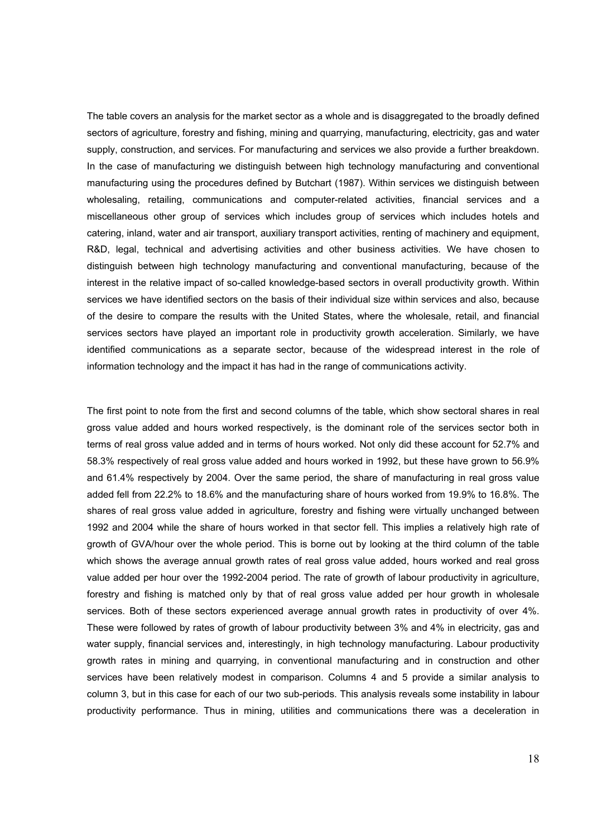The table covers an analysis for the market sector as a whole and is disaggregated to the broadly defined sectors of agriculture, forestry and fishing, mining and quarrying, manufacturing, electricity, gas and water supply, construction, and services. For manufacturing and services we also provide a further breakdown. In the case of manufacturing we distinguish between high technology manufacturing and conventional manufacturing using the procedures defined by Butchart (1987). Within services we distinguish between wholesaling, retailing, communications and computer-related activities, financial services and a miscellaneous other group of services which includes group of services which includes hotels and catering, inland, water and air transport, auxiliary transport activities, renting of machinery and equipment, R&D, legal, technical and advertising activities and other business activities. We have chosen to distinguish between high technology manufacturing and conventional manufacturing, because of the interest in the relative impact of so-called knowledge-based sectors in overall productivity growth. Within services we have identified sectors on the basis of their individual size within services and also, because of the desire to compare the results with the United States, where the wholesale, retail, and financial services sectors have played an important role in productivity growth acceleration. Similarly, we have identified communications as a separate sector, because of the widespread interest in the role of information technology and the impact it has had in the range of communications activity.

The first point to note from the first and second columns of the table, which show sectoral shares in real gross value added and hours worked respectively, is the dominant role of the services sector both in terms of real gross value added and in terms of hours worked. Not only did these account for 52.7% and 58.3% respectively of real gross value added and hours worked in 1992, but these have grown to 56.9% and 61.4% respectively by 2004. Over the same period, the share of manufacturing in real gross value added fell from 22.2% to 18.6% and the manufacturing share of hours worked from 19.9% to 16.8%. The shares of real gross value added in agriculture, forestry and fishing were virtually unchanged between 1992 and 2004 while the share of hours worked in that sector fell. This implies a relatively high rate of growth of GVA/hour over the whole period. This is borne out by looking at the third column of the table which shows the average annual growth rates of real gross value added, hours worked and real gross value added per hour over the 1992-2004 period. The rate of growth of labour productivity in agriculture, forestry and fishing is matched only by that of real gross value added per hour growth in wholesale services. Both of these sectors experienced average annual growth rates in productivity of over 4%. These were followed by rates of growth of labour productivity between 3% and 4% in electricity, gas and water supply, financial services and, interestingly, in high technology manufacturing. Labour productivity growth rates in mining and quarrying, in conventional manufacturing and in construction and other services have been relatively modest in comparison. Columns 4 and 5 provide a similar analysis to column 3, but in this case for each of our two sub-periods. This analysis reveals some instability in labour productivity performance. Thus in mining, utilities and communications there was a deceleration in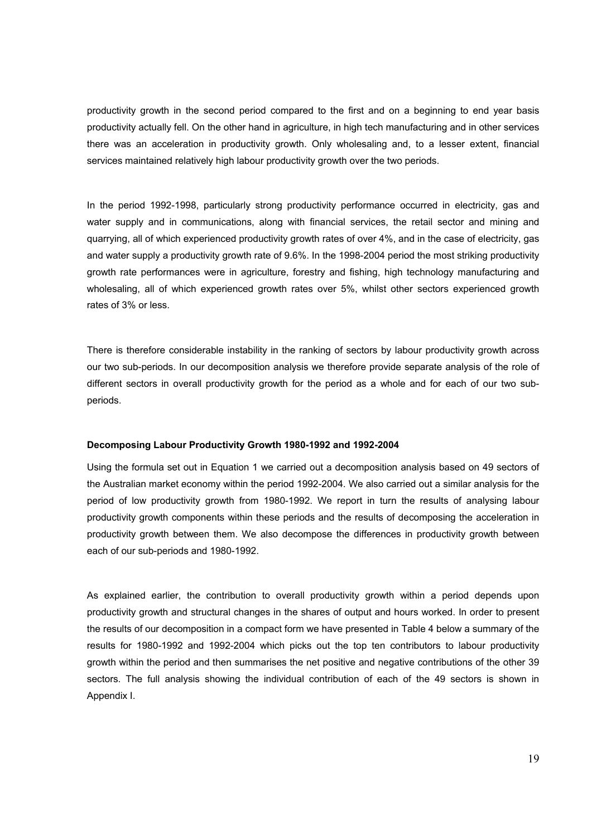productivity growth in the second period compared to the first and on a beginning to end year basis productivity actually fell. On the other hand in agriculture, in high tech manufacturing and in other services there was an acceleration in productivity growth. Only wholesaling and, to a lesser extent, financial services maintained relatively high labour productivity growth over the two periods.

In the period 1992-1998, particularly strong productivity performance occurred in electricity, gas and water supply and in communications, along with financial services, the retail sector and mining and quarrying, all of which experienced productivity growth rates of over 4%, and in the case of electricity, gas and water supply a productivity growth rate of 9.6%. In the 1998-2004 period the most striking productivity growth rate performances were in agriculture, forestry and fishing, high technology manufacturing and wholesaling, all of which experienced growth rates over 5%, whilst other sectors experienced growth rates of 3% or less.

There is therefore considerable instability in the ranking of sectors by labour productivity growth across our two sub-periods. In our decomposition analysis we therefore provide separate analysis of the role of different sectors in overall productivity growth for the period as a whole and for each of our two subperiods.

### Decomposing Labour Productivity Growth 1980-1992 and 1992-2004

Using the formula set out in Equation 1 we carried out a decomposition analysis based on 49 sectors of the Australian market economy within the period 1992-2004. We also carried out a similar analysis for the period of low productivity growth from 1980-1992. We report in turn the results of analysing labour productivity growth components within these periods and the results of decomposing the acceleration in productivity growth between them. We also decompose the differences in productivity growth between each of our sub-periods and 1980-1992.

As explained earlier, the contribution to overall productivity growth within a period depends upon productivity growth and structural changes in the shares of output and hours worked. In order to present the results of our decomposition in a compact form we have presented in Table 4 below a summary of the results for 1980-1992 and 1992-2004 which picks out the top ten contributors to labour productivity growth within the period and then summarises the net positive and negative contributions of the other 39 sectors. The full analysis showing the individual contribution of each of the 49 sectors is shown in Appendix I.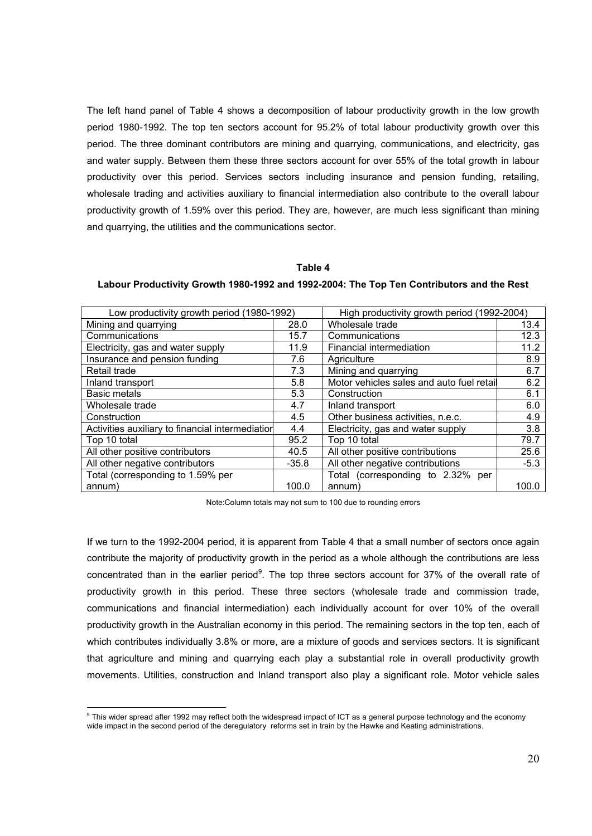The left hand panel of Table 4 shows a decomposition of labour productivity growth in the low growth period 1980-1992. The top ten sectors account for 95.2% of total labour productivity growth over this period. The three dominant contributors are mining and quarrying, communications, and electricity, gas and water supply. Between them these three sectors account for over 55% of the total growth in labour productivity over this period. Services sectors including insurance and pension funding, retailing, wholesale trading and activities auxiliary to financial intermediation also contribute to the overall labour productivity growth of 1.59% over this period. They are, however, are much less significant than mining and quarrying, the utilities and the communications sector.

### Table 4

| Low productivity growth period (1980-1992)       |         | High productivity growth period (1992-2004) |        |  |
|--------------------------------------------------|---------|---------------------------------------------|--------|--|
| Mining and quarrying                             | 28.0    | Wholesale trade                             | 13.4   |  |
| Communications                                   | 15.7    | Communications                              | 12.3   |  |
| Electricity, gas and water supply                | 11.9    | Financial intermediation                    | 11.2   |  |
| Insurance and pension funding                    | 7.6     | Agriculture                                 | 8.9    |  |
| Retail trade                                     | 7.3     | Mining and quarrying                        | 6.7    |  |
| Inland transport                                 | 5.8     | Motor vehicles sales and auto fuel retail   | 6.2    |  |
| <b>Basic metals</b>                              | 5.3     | Construction                                | 6.1    |  |
| Wholesale trade                                  | 4.7     | Inland transport                            | 6.0    |  |
| Construction                                     | 4.5     | Other business activities, n.e.c.           | 4.9    |  |
| Activities auxiliary to financial intermediation | 4.4     | Electricity, gas and water supply           | 3.8    |  |
| Top 10 total                                     | 95.2    | Top 10 total                                | 79.7   |  |
| All other positive contributors                  | 40.5    | All other positive contributions            | 25.6   |  |
| All other negative contributors                  | $-35.8$ | All other negative contributions            | $-5.3$ |  |
| Total (corresponding to 1.59% per                |         | (corresponding to 2.32% per<br>Total        |        |  |
| annum)                                           | 100.0   | annum)                                      | 100.0  |  |

Labour Productivity Growth 1980-1992 and 1992-2004: The Top Ten Contributors and the Rest

Note:Column totals may not sum to 100 due to rounding errors

If we turn to the 1992-2004 period, it is apparent from Table 4 that a small number of sectors once again contribute the majority of productivity growth in the period as a whole although the contributions are less concentrated than in the earlier period<sup>9</sup>. The top three sectors account for 37% of the overall rate of productivity growth in this period. These three sectors (wholesale trade and commission trade, communications and financial intermediation) each individually account for over 10% of the overall productivity growth in the Australian economy in this period. The remaining sectors in the top ten, each of which contributes individually 3.8% or more, are a mixture of goods and services sectors. It is significant that agriculture and mining and quarrying each play a substantial role in overall productivity growth movements. Utilities, construction and Inland transport also play a significant role. Motor vehicle sales

 9 This wider spread after 1992 may reflect both the widespread impact of ICT as a general purpose technology and the economy wide impact in the second period of the deregulatory reforms set in train by the Hawke and Keating administrations.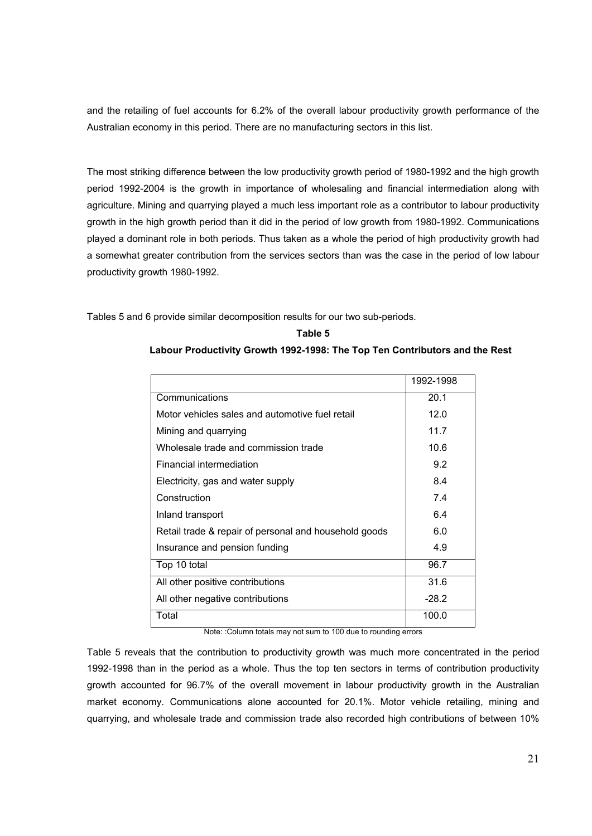and the retailing of fuel accounts for 6.2% of the overall labour productivity growth performance of the Australian economy in this period. There are no manufacturing sectors in this list.

The most striking difference between the low productivity growth period of 1980-1992 and the high growth period 1992-2004 is the growth in importance of wholesaling and financial intermediation along with agriculture. Mining and quarrying played a much less important role as a contributor to labour productivity growth in the high growth period than it did in the period of low growth from 1980-1992. Communications played a dominant role in both periods. Thus taken as a whole the period of high productivity growth had a somewhat greater contribution from the services sectors than was the case in the period of low labour productivity growth 1980-1992.

Tables 5 and 6 provide similar decomposition results for our two sub-periods.

## Table 5 Labour Productivity Growth 1992-1998: The Top Ten Contributors and the Rest

|                                                       | 1992-1998 |
|-------------------------------------------------------|-----------|
| Communications                                        | 20.1      |
| Motor vehicles sales and automotive fuel retail       | 12.0      |
| Mining and quarrying                                  | 11.7      |
| Wholesale trade and commission trade                  | 10.6      |
| Financial intermediation                              | 9.2       |
| Electricity, gas and water supply                     | 8.4       |
| Construction                                          | 7.4       |
| Inland transport                                      | 6.4       |
| Retail trade & repair of personal and household goods | 6.0       |
| Insurance and pension funding                         | 4.9       |
| Top 10 total                                          | 96.7      |
| All other positive contributions                      | 31.6      |
| All other negative contributions                      | $-28.2$   |
| Total                                                 | 100.0     |

Note: :Column totals may not sum to 100 due to rounding errors

Table 5 reveals that the contribution to productivity growth was much more concentrated in the period 1992-1998 than in the period as a whole. Thus the top ten sectors in terms of contribution productivity growth accounted for 96.7% of the overall movement in labour productivity growth in the Australian market economy. Communications alone accounted for 20.1%. Motor vehicle retailing, mining and quarrying, and wholesale trade and commission trade also recorded high contributions of between 10%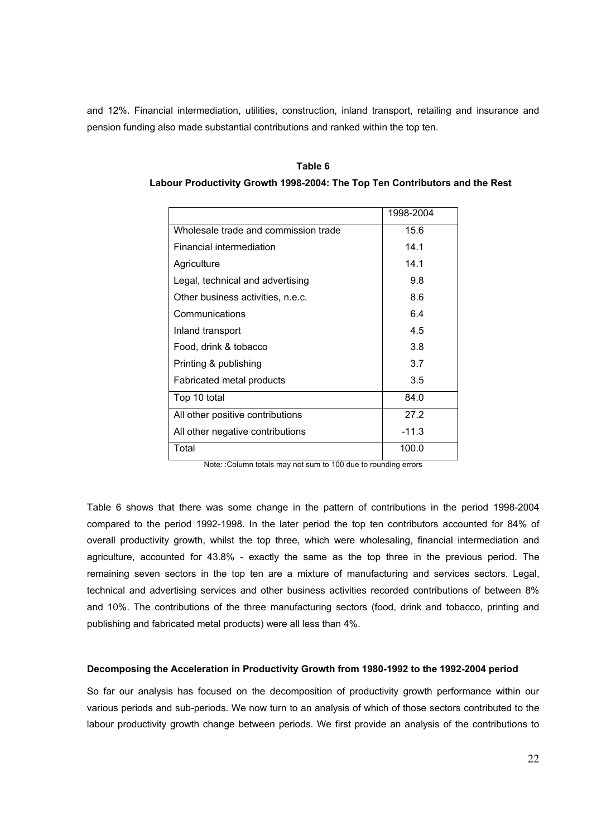and 12%. Financial intermediation, utilities, construction, inland transport, retailing and insurance and pension funding also made substantial contributions and ranked within the top ten.

Table 6

|                                      | 1998-2004 |
|--------------------------------------|-----------|
| Wholesale trade and commission trade | 15.6      |
| Financial intermediation             | 14.1      |
| Agriculture                          | 14.1      |
| Legal, technical and advertising     | 9.8       |
| Other business activities, n.e.c.    | 8.6       |
| Communications                       | 6.4       |
| Inland transport                     | 4.5       |
| Food, drink & tobacco                | 3.8       |
| Printing & publishing                | 3.7       |
| Fabricated metal products            | 3.5       |
| Top 10 total                         | 84.0      |
| All other positive contributions     | 27.2      |
| All other negative contributions     | $-11.3$   |
| Total                                | 100.0     |

Labour Productivity Growth 1998-2004: The Top Ten Contributors and the Rest

Note: :Column totals may not sum to 100 due to rounding errors

Table 6 shows that there was some change in the pattern of contributions in the period 1998-2004 compared to the period 1992-1998. In the later period the top ten contributors accounted for 84% of overall productivity growth, whilst the top three, which were wholesaling, financial intermediation and agriculture, accounted for 43.8% - exactly the same as the top three in the previous period. The remaining seven sectors in the top ten are a mixture of manufacturing and services sectors. Legal, technical and advertising services and other business activities recorded contributions of between 8% and 10%. The contributions of the three manufacturing sectors (food, drink and tobacco, printing and publishing and fabricated metal products) were all less than 4%.

### Decomposing the Acceleration in Productivity Growth from 1980-1992 to the 1992-2004 period

So far our analysis has focused on the decomposition of productivity growth performance within our various periods and sub-periods. We now turn to an analysis of which of those sectors contributed to the labour productivity growth change between periods. We first provide an analysis of the contributions to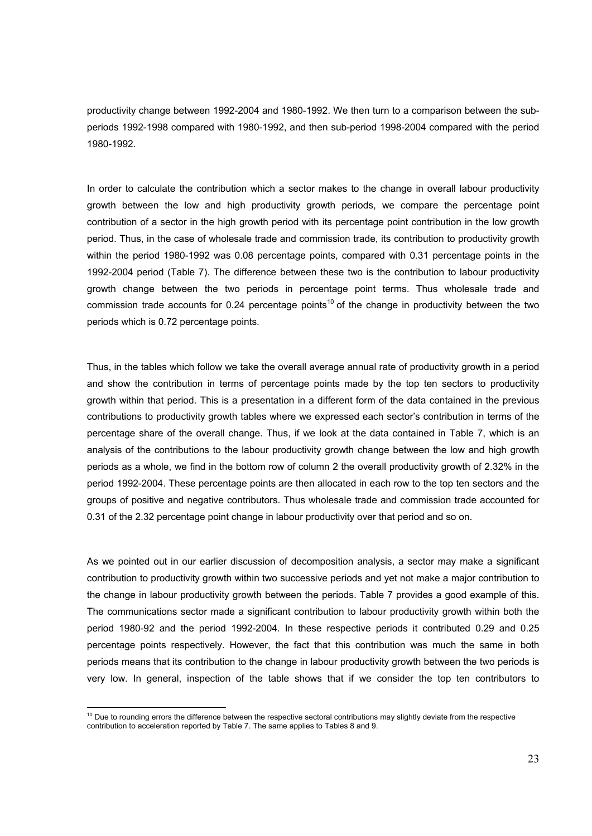productivity change between 1992-2004 and 1980-1992. We then turn to a comparison between the subperiods 1992-1998 compared with 1980-1992, and then sub-period 1998-2004 compared with the period 1980-1992.

In order to calculate the contribution which a sector makes to the change in overall labour productivity growth between the low and high productivity growth periods, we compare the percentage point contribution of a sector in the high growth period with its percentage point contribution in the low growth period. Thus, in the case of wholesale trade and commission trade, its contribution to productivity growth within the period 1980-1992 was 0.08 percentage points, compared with 0.31 percentage points in the 1992-2004 period (Table 7). The difference between these two is the contribution to labour productivity growth change between the two periods in percentage point terms. Thus wholesale trade and commission trade accounts for 0.24 percentage points<sup>10</sup> of the change in productivity between the two periods which is 0.72 percentage points.

Thus, in the tables which follow we take the overall average annual rate of productivity growth in a period and show the contribution in terms of percentage points made by the top ten sectors to productivity growth within that period. This is a presentation in a different form of the data contained in the previous contributions to productivity growth tables where we expressed each sector's contribution in terms of the percentage share of the overall change. Thus, if we look at the data contained in Table 7, which is an analysis of the contributions to the labour productivity growth change between the low and high growth periods as a whole, we find in the bottom row of column 2 the overall productivity growth of 2.32% in the period 1992-2004. These percentage points are then allocated in each row to the top ten sectors and the groups of positive and negative contributors. Thus wholesale trade and commission trade accounted for 0.31 of the 2.32 percentage point change in labour productivity over that period and so on.

As we pointed out in our earlier discussion of decomposition analysis, a sector may make a significant contribution to productivity growth within two successive periods and yet not make a major contribution to the change in labour productivity growth between the periods. Table 7 provides a good example of this. The communications sector made a significant contribution to labour productivity growth within both the period 1980-92 and the period 1992-2004. In these respective periods it contributed 0.29 and 0.25 percentage points respectively. However, the fact that this contribution was much the same in both periods means that its contribution to the change in labour productivity growth between the two periods is very low. In general, inspection of the table shows that if we consider the top ten contributors to

 $\overline{a}$ 

 $10$  Due to rounding errors the difference between the respective sectoral contributions may slightly deviate from the respective contribution to acceleration reported by Table 7. The same applies to Tables 8 and 9.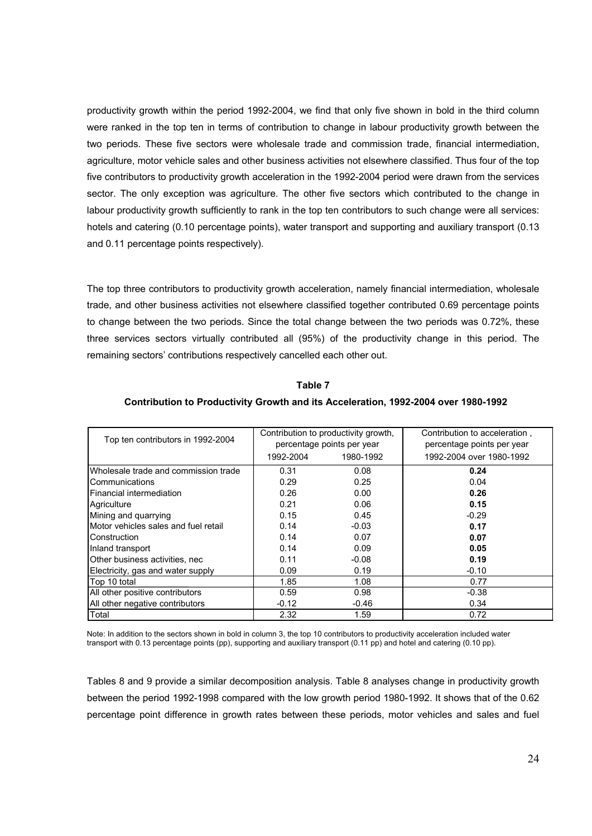productivity growth within the period 1992-2004, we find that only five shown in bold in the third column were ranked in the top ten in terms of contribution to change in labour productivity growth between the two periods. These five sectors were wholesale trade and commission trade, financial intermediation, agriculture, motor vehicle sales and other business activities not elsewhere classified. Thus four of the top five contributors to productivity growth acceleration in the 1992-2004 period were drawn from the services sector. The only exception was agriculture. The other five sectors which contributed to the change in labour productivity growth sufficiently to rank in the top ten contributors to such change were all services: hotels and catering (0.10 percentage points), water transport and supporting and auxiliary transport (0.13 and 0.11 percentage points respectively).

The top three contributors to productivity growth acceleration, namely financial intermediation, wholesale trade, and other business activities not elsewhere classified together contributed 0.69 percentage points to change between the two periods. Since the total change between the two periods was 0.72%, these three services sectors virtually contributed all (95%) of the productivity change in this period. The remaining sectors' contributions respectively cancelled each other out.

Table 7

| Contribution to Productivity Growth and its Acceleration, 1992-2004 over 1980-1992 |  |  |
|------------------------------------------------------------------------------------|--|--|
|                                                                                    |  |  |

| Top ten contributors in 1992-2004    |           | Contribution to productivity growth,<br>percentage points per year | Contribution to acceleration,<br>percentage points per year |
|--------------------------------------|-----------|--------------------------------------------------------------------|-------------------------------------------------------------|
|                                      | 1992-2004 | 1980-1992                                                          | 1992-2004 over 1980-1992                                    |
| Wholesale trade and commission trade | 0.31      | 0.08                                                               | 0.24                                                        |
| Communications                       | 0.29      | 0.25                                                               | 0.04                                                        |
| Financial intermediation             | 0.26      | 0.00                                                               | 0.26                                                        |
| Agriculture                          | 0.21      | 0.06                                                               | 0.15                                                        |
| Mining and quarrying                 | 0.15      | 0.45                                                               | $-0.29$                                                     |
| Motor vehicles sales and fuel retail | 0.14      | $-0.03$                                                            | 0.17                                                        |
| Construction                         | 0.14      | 0.07                                                               | 0.07                                                        |
| Inland transport                     | 0.14      | 0.09                                                               | 0.05                                                        |
| Other business activities, nec       | 0.11      | $-0.08$                                                            | 0.19                                                        |
| Electricity, gas and water supply    | 0.09      | 0.19                                                               | $-0.10$                                                     |
| Top 10 total                         | 1.85      | 1.08                                                               | 0.77                                                        |
| All other positive contributors      | 0.59      | 0.98                                                               | $-0.38$                                                     |
| All other negative contributors      | $-0.12$   | $-0.46$                                                            | 0.34                                                        |
| Total                                | 2.32      | 1.59                                                               | 0.72                                                        |

Note: In addition to the sectors shown in bold in column 3, the top 10 contributors to productivity acceleration included water transport with 0.13 percentage points (pp), supporting and auxiliary transport (0.11 pp) and hotel and catering (0.10 pp).

Tables 8 and 9 provide a similar decomposition analysis. Table 8 analyses change in productivity growth between the period 1992-1998 compared with the low growth period 1980-1992. It shows that of the 0.62 percentage point difference in growth rates between these periods, motor vehicles and sales and fuel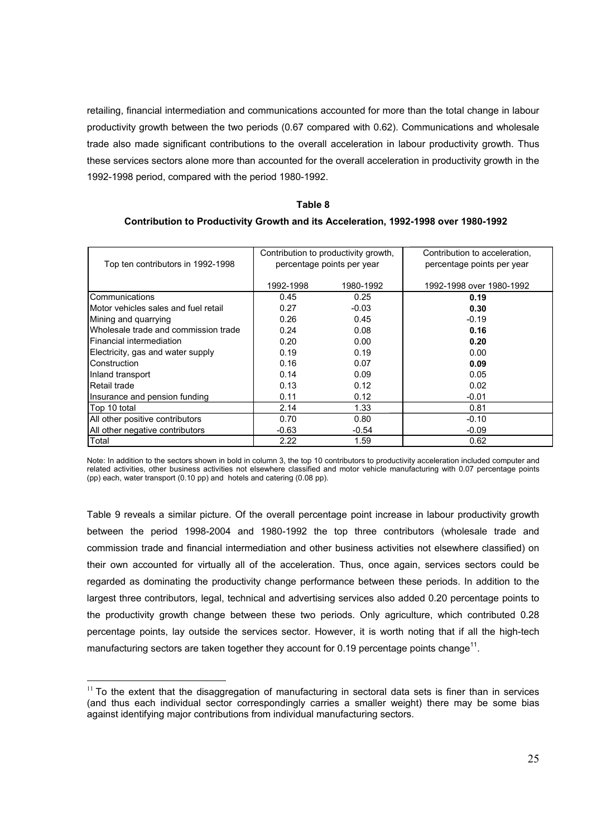retailing, financial intermediation and communications accounted for more than the total change in labour productivity growth between the two periods (0.67 compared with 0.62). Communications and wholesale trade also made significant contributions to the overall acceleration in labour productivity growth. Thus these services sectors alone more than accounted for the overall acceleration in productivity growth in the 1992-1998 period, compared with the period 1980-1992.

### Table 8

# Contribution to Productivity Growth and its Acceleration, 1992-1998 over 1980-1992

| Top ten contributors in 1992-1998    |           | Contribution to productivity growth,<br>percentage points per year | Contribution to acceleration,<br>percentage points per year |
|--------------------------------------|-----------|--------------------------------------------------------------------|-------------------------------------------------------------|
|                                      | 1992-1998 | 1980-1992                                                          | 1992-1998 over 1980-1992                                    |
| Communications                       | 0.45      | 0.25                                                               | 0.19                                                        |
| Motor vehicles sales and fuel retail | 0.27      | $-0.03$                                                            | 0.30                                                        |
| Mining and quarrying                 | 0.26      | 0.45                                                               | $-0.19$                                                     |
| Wholesale trade and commission trade | 0.24      | 0.08                                                               | 0.16                                                        |
| Financial intermediation             | 0.20      | 0.00                                                               | 0.20                                                        |
| Electricity, gas and water supply    | 0.19      | 0.19                                                               | 0.00                                                        |
| Construction                         | 0.16      | 0.07                                                               | 0.09                                                        |
| Inland transport                     | 0.14      | 0.09                                                               | 0.05                                                        |
| Retail trade                         | 0.13      | 0.12                                                               | 0.02                                                        |
| Insurance and pension funding        | 0.11      | 0.12                                                               | $-0.01$                                                     |
| Top 10 total                         | 2.14      | 1.33                                                               | 0.81                                                        |
| All other positive contributors      | 0.70      | 0.80                                                               | $-0.10$                                                     |
| All other negative contributors      | $-0.63$   | $-0.54$                                                            | $-0.09$                                                     |
| Total                                | 2.22      | 1.59                                                               | 0.62                                                        |

Note: In addition to the sectors shown in bold in column 3, the top 10 contributors to productivity acceleration included computer and related activities, other business activities not elsewhere classified and motor vehicle manufacturing with 0.07 percentage points (pp) each, water transport (0.10 pp) and hotels and catering (0.08 pp).

Table 9 reveals a similar picture. Of the overall percentage point increase in labour productivity growth between the period 1998-2004 and 1980-1992 the top three contributors (wholesale trade and commission trade and financial intermediation and other business activities not elsewhere classified) on their own accounted for virtually all of the acceleration. Thus, once again, services sectors could be regarded as dominating the productivity change performance between these periods. In addition to the largest three contributors, legal, technical and advertising services also added 0.20 percentage points to the productivity growth change between these two periods. Only agriculture, which contributed 0.28 percentage points, lay outside the services sector. However, it is worth noting that if all the high-tech manufacturing sectors are taken together they account for 0.19 percentage points change<sup>11</sup>.

 $\overline{a}$  $11$  To the extent that the disaggregation of manufacturing in sectoral data sets is finer than in services (and thus each individual sector correspondingly carries a smaller weight) there may be some bias against identifying major contributions from individual manufacturing sectors.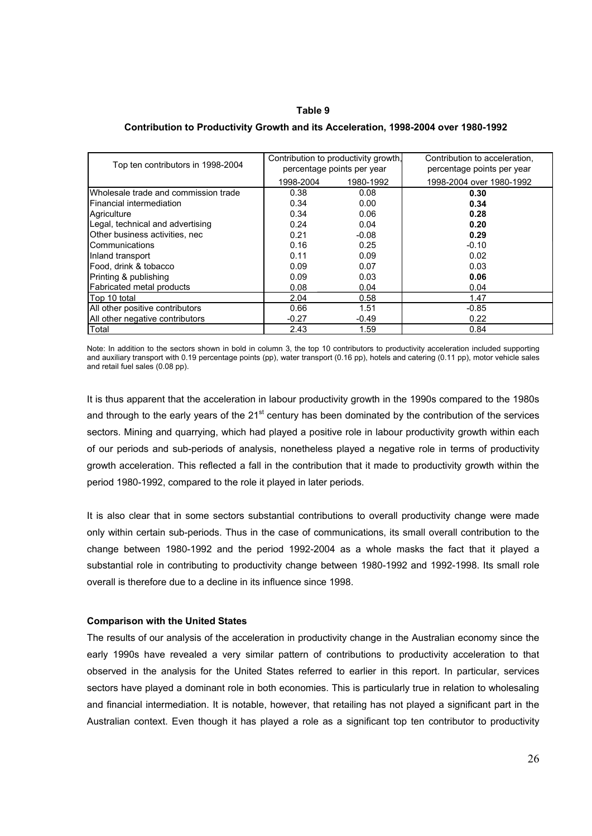### Table 9

### Contribution to Productivity Growth and its Acceleration, 1998-2004 over 1980-1992

| Top ten contributors in 1998-2004    | Contribution to productivity growth,<br>percentage points per year |           | Contribution to acceleration,<br>percentage points per year |
|--------------------------------------|--------------------------------------------------------------------|-----------|-------------------------------------------------------------|
|                                      | 1998-2004                                                          | 1980-1992 | 1998-2004 over 1980-1992                                    |
| Wholesale trade and commission trade | 0.38                                                               | 0.08      | 0.30                                                        |
| Financial intermediation             | 0.34                                                               | 0.00      | 0.34                                                        |
| Agriculture                          | 0.34                                                               | 0.06      | 0.28                                                        |
| Legal, technical and advertising     | 0.24                                                               | 0.04      | 0.20                                                        |
| Other business activities, nec       | 0.21                                                               | $-0.08$   | 0.29                                                        |
| Communications                       | 0.16                                                               | 0.25      | $-0.10$                                                     |
| Inland transport                     | 0.11                                                               | 0.09      | 0.02                                                        |
| Food, drink & tobacco                | 0.09                                                               | 0.07      | 0.03                                                        |
| Printing & publishing                | 0.09                                                               | 0.03      | 0.06                                                        |
| Fabricated metal products            | 0.08                                                               | 0.04      | 0.04                                                        |
| Top 10 total                         | 2.04                                                               | 0.58      | 1.47                                                        |
| All other positive contributors      | 0.66                                                               | 1.51      | $-0.85$                                                     |
| All other negative contributors      | $-0.27$                                                            | $-0.49$   | 0.22                                                        |
| Total                                | 2.43                                                               | 1.59      | 0.84                                                        |

Note: In addition to the sectors shown in bold in column 3, the top 10 contributors to productivity acceleration included supporting and auxiliary transport with 0.19 percentage points (pp), water transport (0.16 pp), hotels and catering (0.11 pp), motor vehicle sales and retail fuel sales (0.08 pp).

It is thus apparent that the acceleration in labour productivity growth in the 1990s compared to the 1980s and through to the early years of the  $21<sup>st</sup>$  century has been dominated by the contribution of the services sectors. Mining and quarrying, which had played a positive role in labour productivity growth within each of our periods and sub-periods of analysis, nonetheless played a negative role in terms of productivity growth acceleration. This reflected a fall in the contribution that it made to productivity growth within the period 1980-1992, compared to the role it played in later periods.

It is also clear that in some sectors substantial contributions to overall productivity change were made only within certain sub-periods. Thus in the case of communications, its small overall contribution to the change between 1980-1992 and the period 1992-2004 as a whole masks the fact that it played a substantial role in contributing to productivity change between 1980-1992 and 1992-1998. Its small role overall is therefore due to a decline in its influence since 1998.

### Comparison with the United States

The results of our analysis of the acceleration in productivity change in the Australian economy since the early 1990s have revealed a very similar pattern of contributions to productivity acceleration to that observed in the analysis for the United States referred to earlier in this report. In particular, services sectors have played a dominant role in both economies. This is particularly true in relation to wholesaling and financial intermediation. It is notable, however, that retailing has not played a significant part in the Australian context. Even though it has played a role as a significant top ten contributor to productivity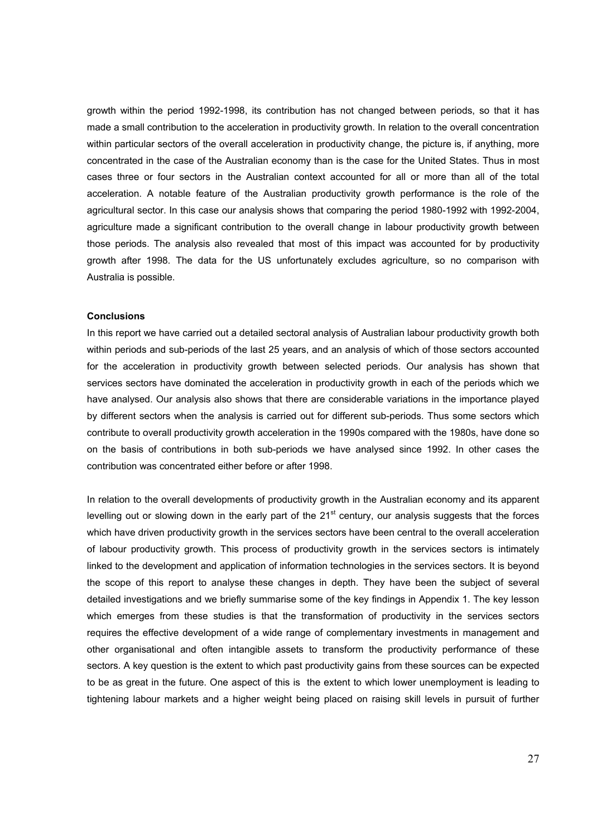growth within the period 1992-1998, its contribution has not changed between periods, so that it has made a small contribution to the acceleration in productivity growth. In relation to the overall concentration within particular sectors of the overall acceleration in productivity change, the picture is, if anything, more concentrated in the case of the Australian economy than is the case for the United States. Thus in most cases three or four sectors in the Australian context accounted for all or more than all of the total acceleration. A notable feature of the Australian productivity growth performance is the role of the agricultural sector. In this case our analysis shows that comparing the period 1980-1992 with 1992-2004, agriculture made a significant contribution to the overall change in labour productivity growth between those periods. The analysis also revealed that most of this impact was accounted for by productivity growth after 1998. The data for the US unfortunately excludes agriculture, so no comparison with Australia is possible.

### **Conclusions**

In this report we have carried out a detailed sectoral analysis of Australian labour productivity growth both within periods and sub-periods of the last 25 years, and an analysis of which of those sectors accounted for the acceleration in productivity growth between selected periods. Our analysis has shown that services sectors have dominated the acceleration in productivity growth in each of the periods which we have analysed. Our analysis also shows that there are considerable variations in the importance played by different sectors when the analysis is carried out for different sub-periods. Thus some sectors which contribute to overall productivity growth acceleration in the 1990s compared with the 1980s, have done so on the basis of contributions in both sub-periods we have analysed since 1992. In other cases the contribution was concentrated either before or after 1998.

In relation to the overall developments of productivity growth in the Australian economy and its apparent levelling out or slowing down in the early part of the  $21<sup>st</sup>$  century, our analysis suggests that the forces which have driven productivity growth in the services sectors have been central to the overall acceleration of labour productivity growth. This process of productivity growth in the services sectors is intimately linked to the development and application of information technologies in the services sectors. It is beyond the scope of this report to analyse these changes in depth. They have been the subject of several detailed investigations and we briefly summarise some of the key findings in Appendix 1. The key lesson which emerges from these studies is that the transformation of productivity in the services sectors requires the effective development of a wide range of complementary investments in management and other organisational and often intangible assets to transform the productivity performance of these sectors. A key question is the extent to which past productivity gains from these sources can be expected to be as great in the future. One aspect of this is the extent to which lower unemployment is leading to tightening labour markets and a higher weight being placed on raising skill levels in pursuit of further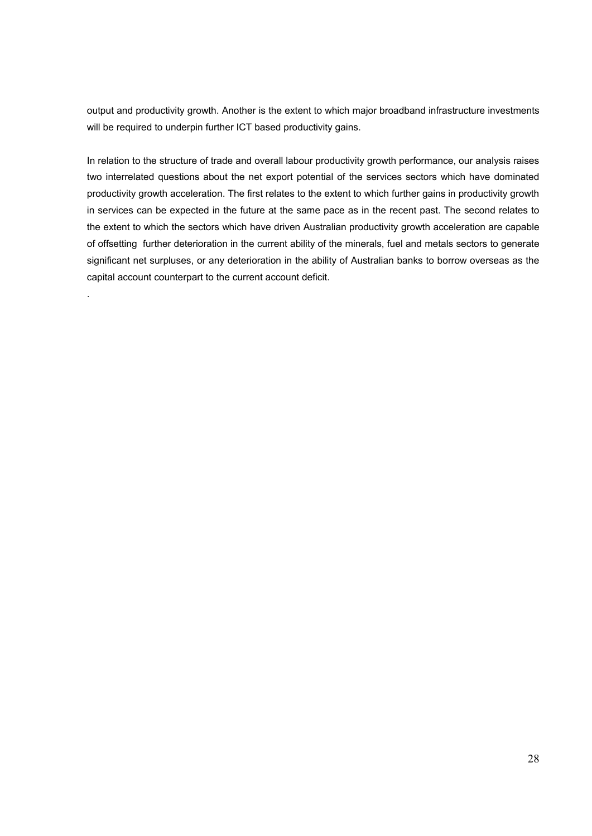output and productivity growth. Another is the extent to which major broadband infrastructure investments will be required to underpin further ICT based productivity gains.

In relation to the structure of trade and overall labour productivity growth performance, our analysis raises two interrelated questions about the net export potential of the services sectors which have dominated productivity growth acceleration. The first relates to the extent to which further gains in productivity growth in services can be expected in the future at the same pace as in the recent past. The second relates to the extent to which the sectors which have driven Australian productivity growth acceleration are capable of offsetting further deterioration in the current ability of the minerals, fuel and metals sectors to generate significant net surpluses, or any deterioration in the ability of Australian banks to borrow overseas as the capital account counterpart to the current account deficit.

.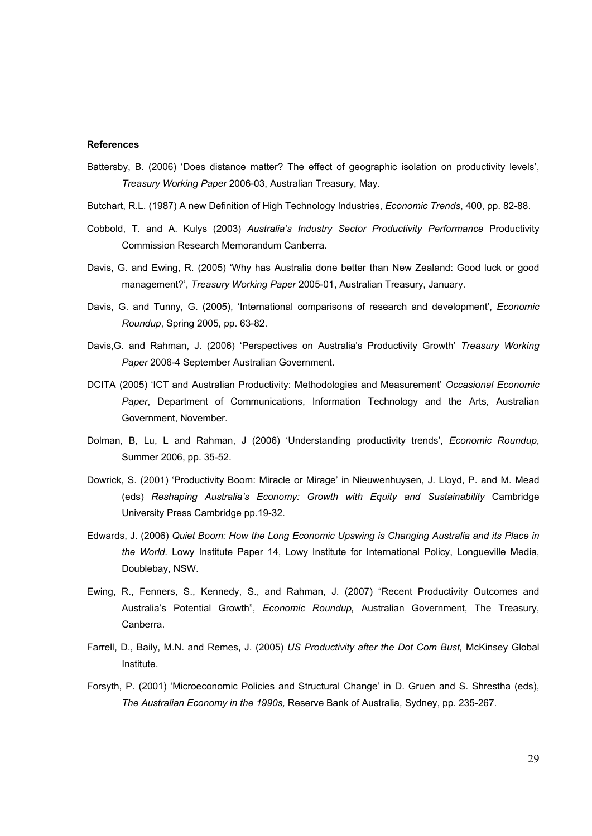#### References

- Battersby, B. (2006) 'Does distance matter? The effect of geographic isolation on productivity levels', Treasury Working Paper 2006-03, Australian Treasury, May.
- Butchart, R.L. (1987) A new Definition of High Technology Industries, Economic Trends, 400, pp. 82-88.
- Cobbold, T. and A. Kulys (2003) Australia's Industry Sector Productivity Performance Productivity Commission Research Memorandum Canberra.
- Davis, G. and Ewing, R. (2005) 'Why has Australia done better than New Zealand: Good luck or good management?', Treasury Working Paper 2005-01, Australian Treasury, January.
- Davis, G. and Tunny, G. (2005), 'International comparisons of research and development', Economic Roundup, Spring 2005, pp. 63-82.
- Davis,G. and Rahman, J. (2006) 'Perspectives on Australia's Productivity Growth' Treasury Working Paper 2006-4 September Australian Government.
- DCITA (2005) 'ICT and Australian Productivity: Methodologies and Measurement' Occasional Economic Paper, Department of Communications, Information Technology and the Arts, Australian Government, November.
- Dolman, B, Lu, L and Rahman, J (2006) 'Understanding productivity trends', Economic Roundup, Summer 2006, pp. 35-52.
- Dowrick, S. (2001) 'Productivity Boom: Miracle or Mirage' in Nieuwenhuysen, J. Lloyd, P. and M. Mead (eds) Reshaping Australia's Economy: Growth with Equity and Sustainability Cambridge University Press Cambridge pp.19-32.
- Edwards, J. (2006) Quiet Boom: How the Long Economic Upswing is Changing Australia and its Place in the World. Lowy Institute Paper 14, Lowy Institute for International Policy, Longueville Media, Doublebay, NSW.
- Ewing, R., Fenners, S., Kennedy, S., and Rahman, J. (2007) "Recent Productivity Outcomes and Australia's Potential Growth", Economic Roundup, Australian Government, The Treasury, Canberra.
- Farrell, D., Baily, M.N. and Remes, J. (2005) US Productivity after the Dot Com Bust, McKinsey Global Institute.
- Forsyth, P. (2001) 'Microeconomic Policies and Structural Change' in D. Gruen and S. Shrestha (eds), The Australian Economy in the 1990s, Reserve Bank of Australia, Sydney, pp. 235-267.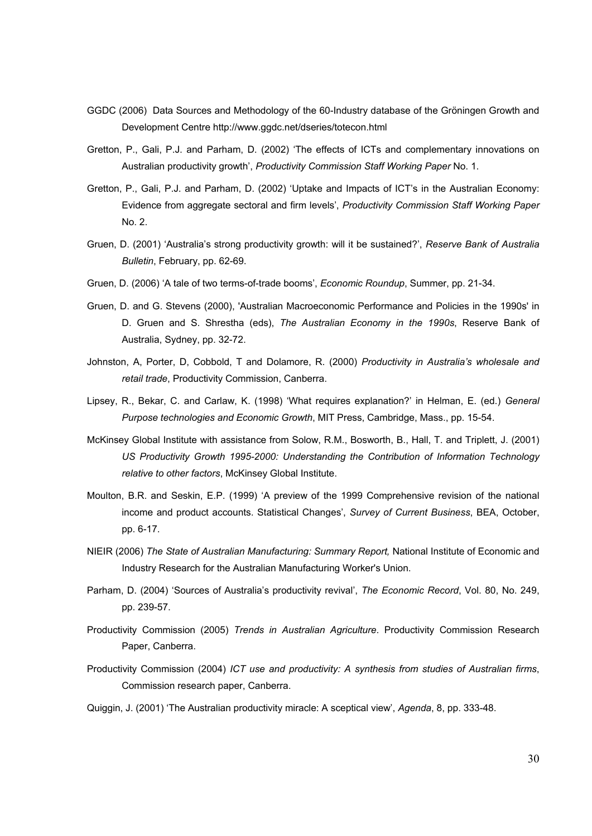- GGDC (2006) Data Sources and Methodology of the 60-Industry database of the Gröningen Growth and Development Centre http://www.ggdc.net/dseries/totecon.html
- Gretton, P., Gali, P.J. and Parham, D. (2002) 'The effects of ICTs and complementary innovations on Australian productivity growth', Productivity Commission Staff Working Paper No. 1.
- Gretton, P., Gali, P.J. and Parham, D. (2002) 'Uptake and Impacts of ICT's in the Australian Economy: Evidence from aggregate sectoral and firm levels', Productivity Commission Staff Working Paper No. 2.
- Gruen, D. (2001) 'Australia's strong productivity growth: will it be sustained?', Reserve Bank of Australia Bulletin, February, pp. 62-69.
- Gruen, D. (2006) 'A tale of two terms-of-trade booms', Economic Roundup, Summer, pp. 21-34.
- Gruen, D. and G. Stevens (2000), 'Australian Macroeconomic Performance and Policies in the 1990s' in D. Gruen and S. Shrestha (eds), The Australian Economy in the 1990s, Reserve Bank of Australia, Sydney, pp. 32-72.
- Johnston, A, Porter, D, Cobbold, T and Dolamore, R. (2000) Productivity in Australia's wholesale and retail trade, Productivity Commission, Canberra.
- Lipsey, R., Bekar, C. and Carlaw, K. (1998) 'What requires explanation?' in Helman, E. (ed.) General Purpose technologies and Economic Growth, MIT Press, Cambridge, Mass., pp. 15-54.
- McKinsey Global Institute with assistance from Solow, R.M., Bosworth, B., Hall, T. and Triplett, J. (2001) US Productivity Growth 1995-2000: Understanding the Contribution of Information Technology relative to other factors, McKinsey Global Institute.
- Moulton, B.R. and Seskin, E.P. (1999) 'A preview of the 1999 Comprehensive revision of the national income and product accounts. Statistical Changes', Survey of Current Business, BEA, October, pp. 6-17.
- NIEIR (2006) The State of Australian Manufacturing: Summary Report, National Institute of Economic and Industry Research for the Australian Manufacturing Worker's Union.
- Parham, D. (2004) 'Sources of Australia's productivity revival', The Economic Record, Vol. 80, No. 249, pp. 239-57.
- Productivity Commission (2005) Trends in Australian Agriculture. Productivity Commission Research Paper, Canberra.
- Productivity Commission (2004) ICT use and productivity: A synthesis from studies of Australian firms, Commission research paper, Canberra.

Quiggin, J. (2001) 'The Australian productivity miracle: A sceptical view', Agenda, 8, pp. 333-48.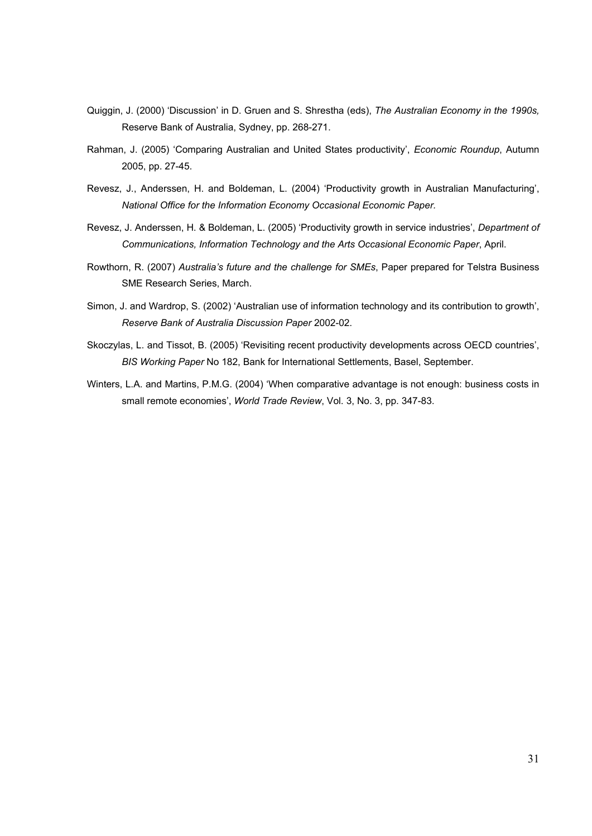- Quiggin, J. (2000) 'Discussion' in D. Gruen and S. Shrestha (eds), The Australian Economy in the 1990s, Reserve Bank of Australia, Sydney, pp. 268-271.
- Rahman, J. (2005) 'Comparing Australian and United States productivity', Economic Roundup, Autumn 2005, pp. 27-45.
- Revesz, J., Anderssen, H. and Boldeman, L. (2004) 'Productivity growth in Australian Manufacturing', National Office for the Information Economy Occasional Economic Paper.
- Revesz, J. Anderssen, H. & Boldeman, L. (2005) 'Productivity growth in service industries', Department of Communications, Information Technology and the Arts Occasional Economic Paper, April.
- Rowthorn, R. (2007) Australia's future and the challenge for SMEs, Paper prepared for Telstra Business SME Research Series, March.
- Simon, J. and Wardrop, S. (2002) 'Australian use of information technology and its contribution to growth', Reserve Bank of Australia Discussion Paper 2002-02.
- Skoczylas, L. and Tissot, B. (2005) 'Revisiting recent productivity developments across OECD countries', BIS Working Paper No 182, Bank for International Settlements, Basel, September.
- Winters, L.A. and Martins, P.M.G. (2004) 'When comparative advantage is not enough: business costs in small remote economies', World Trade Review, Vol. 3, No. 3, pp. 347-83.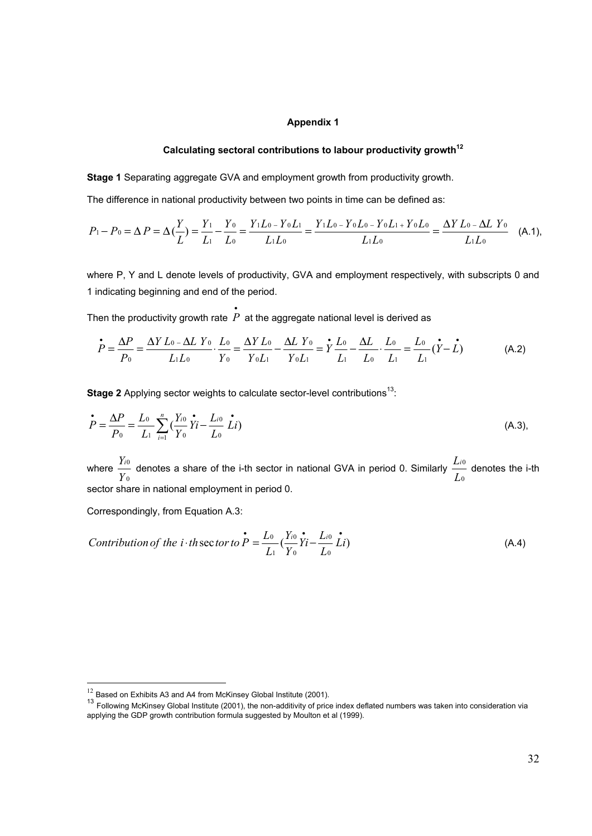### Appendix 1

## Calculating sectoral contributions to labour productivity growth<sup>12</sup>

Stage 1 Separating aggregate GVA and employment growth from productivity growth.

The difference in national productivity between two points in time can be defined as:

$$
P_1 - P_0 = \Delta P = \Delta \left(\frac{Y}{L}\right) = \frac{Y_1}{L_1} - \frac{Y_0}{L_0} = \frac{Y_1 L_0 - Y_0 L_1}{L_1 L_0} = \frac{Y_1 L_0 - Y_0 L_0 - Y_0 L_1 + Y_0 L_0}{L_1 L_0} = \frac{\Delta Y L_0 - \Delta L Y_0}{L_1 L_0}
$$
 (A.1),

where P, Y and L denote levels of productivity, GVA and employment respectively, with subscripts 0 and 1 indicating beginning and end of the period.

Then the productivity growth rate  $P\,$  at the aggregate national level is derived as

$$
\dot{P} = \frac{\Delta P}{P_0} = \frac{\Delta Y L_0 - \Delta L Y_0}{L_1 L_0} \cdot \frac{L_0}{Y_0} = \frac{\Delta Y L_0}{Y_0 L_1} - \frac{\Delta L Y_0}{Y_0 L_1} = \dot{Y} \frac{L_0}{L_1} - \frac{\Delta L}{L_0} \cdot \frac{L_0}{L_1} = \frac{L_0}{L_1} (\dot{Y} - \dot{L})
$$
(A.2)

Stage 2 Applying sector weights to calculate sector-level contributions<sup>13</sup>:

•

$$
\dot{P} = \frac{\Delta P}{P_0} = \frac{L_0}{L_1} \sum_{i=1}^n \left( \frac{Y_{i0}}{Y_0} \dot{Y}_i - \frac{L_{i0}}{L_0} \dot{L}_i \right)
$$
(A.3),

where  $\boldsymbol{0}$  $\boldsymbol{0}$ Y  $\frac{Y_{i0}}{X_{i0}}$  denotes a share of the i-th sector in national GVA in period 0. Similarly  $\mathbf 0$  $\boldsymbol{0}$ L  $\frac{L_{i0}}{L}$  denotes the i-th sector share in national employment in period 0.

Correspondingly, from Equation A.3:

l

*Contribution of the i* · *th* sector to 
$$
\vec{P} = \frac{L_0}{L_1} \left( \frac{Y_{i0}}{Y_0} \vec{Y}_i - \frac{L_{i0}}{L_0} \vec{L} i \right)
$$
 (A.4)

 $12$  Based on Exhibits A3 and A4 from McKinsey Global Institute (2001).

<sup>&</sup>lt;sup>13</sup> Following McKinsey Global Institute (2001), the non-additivity of price index deflated numbers was taken into consideration via applying the GDP growth contribution formula suggested by Moulton et al (1999).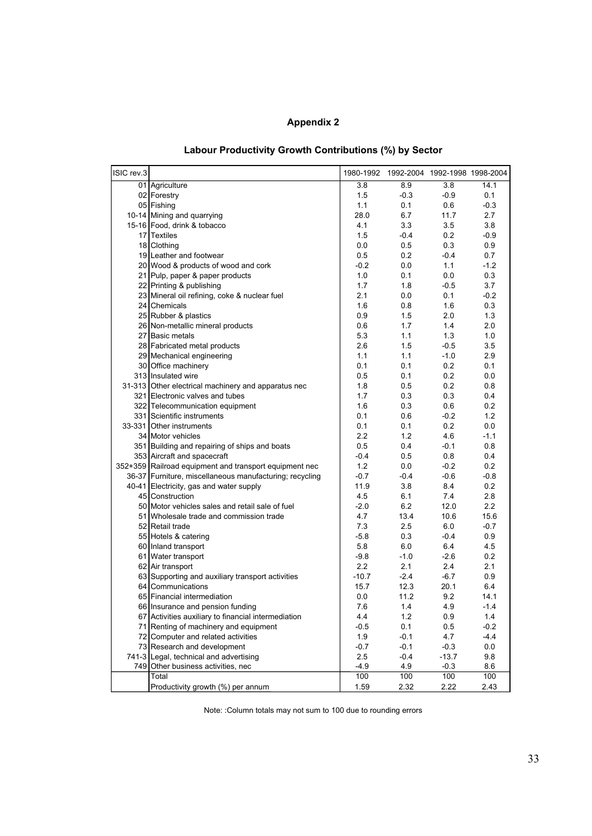## Appendix 2

| Labour Productivity Growth Contributions (%) by Sector |  |  |  |  |
|--------------------------------------------------------|--|--|--|--|
|--------------------------------------------------------|--|--|--|--|

| ISIC rev.3 |                                                         |                  | 1980-1992 1992-2004 1992-1998 1998-2004 |         |        |
|------------|---------------------------------------------------------|------------------|-----------------------------------------|---------|--------|
|            | 01 Agriculture                                          | 3.8              | 8.9                                     | 3.8     | 14.1   |
|            | 02 Forestry                                             | 1.5              | $-0.3$                                  | $-0.9$  | 0.1    |
|            | 05 Fishing                                              | 1.1              | 0.1                                     | 0.6     | $-0.3$ |
|            | 10-14 Mining and quarrying                              | 28.0             | 6.7                                     | 11.7    | 2.7    |
|            | 15-16 Food, drink & tobacco                             | 4.1              | 3.3                                     | 3.5     | 3.8    |
|            | 17 Textiles                                             | 1.5              | $-0.4$                                  | 0.2     | $-0.9$ |
|            | 18 Clothing                                             | 0.0              | 0.5                                     | 0.3     | 0.9    |
|            | 19 Leather and footwear                                 | 0.5              | 0.2                                     | $-0.4$  | 0.7    |
|            | 20 Wood & products of wood and cork                     | $-0.2$           | 0.0                                     | 1.1     | $-1.2$ |
|            | 21 Pulp, paper & paper products                         | 1.0              | 0.1                                     | 0.0     | 0.3    |
|            | 22 Printing & publishing                                | 1.7              | 1.8                                     | $-0.5$  | 3.7    |
|            | 23 Mineral oil refining, coke & nuclear fuel            | 2.1              | 0.0                                     | 0.1     | $-0.2$ |
|            | 24 Chemicals                                            | 1.6              | 0.8                                     | 1.6     | 0.3    |
|            | 25 Rubber & plastics                                    | 0.9              | 1.5                                     | 2.0     | 1.3    |
|            | 26 Non-metallic mineral products                        | 0.6              | 1.7                                     | 1.4     | 2.0    |
|            | 27 Basic metals                                         | 5.3              | 1.1                                     | 1.3     | 1.0    |
|            | 28 Fabricated metal products                            | 2.6              | 1.5                                     | $-0.5$  | 3.5    |
|            | 29 Mechanical engineering                               | 1.1              | 1.1                                     | $-1.0$  | 2.9    |
|            | 30 Office machinery                                     | 0.1              | 0.1                                     | 0.2     | 0.1    |
|            | 313 Insulated wire                                      | 0.5              | 0.1                                     | 0.2     | 0.0    |
|            | 31-313 Other electrical machinery and apparatus nec     | 1.8              | 0.5                                     | 0.2     | 0.8    |
|            | 321 Electronic valves and tubes                         | 1.7              | 0.3                                     | 0.3     | 0.4    |
|            | 322 Telecommunication equipment                         | 1.6              | 0.3                                     | 0.6     | 0.2    |
|            | 331 Scientific instruments                              | 0.1              | 0.6                                     | $-0.2$  | 1.2    |
|            | 33-331 Other instruments                                | 0.1              | 0.1                                     | 0.2     | 0.0    |
|            | 34 Motor vehicles                                       | $2.2\phantom{0}$ | 1.2                                     | 4.6     | $-1.1$ |
|            | 351 Building and repairing of ships and boats           | 0.5              | 0.4                                     | $-0.1$  | 0.8    |
|            | 353 Aircraft and spacecraft                             | $-0.4$           | 0.5                                     | 0.8     | 0.4    |
|            | 352+359 Railroad equipment and transport equipment nec  | 1.2              | 0.0                                     | $-0.2$  | 0.2    |
|            | 36-37 Furniture, miscellaneous manufacturing; recycling | $-0.7$           | $-0.4$                                  | $-0.6$  | $-0.8$ |
|            | 40-41 Electricity, gas and water supply                 | 11.9             | 3.8                                     | 8.4     | 0.2    |
|            | 45 Construction                                         | 4.5              | 6.1                                     | 7.4     | 2.8    |
|            | 50 Motor vehicles sales and retail sale of fuel         | $-2.0$           | 6.2                                     | 12.0    | 2.2    |
|            | 51 Wholesale trade and commission trade                 | 4.7              | 13.4                                    | 10.6    | 15.6   |
|            | 52 Retail trade                                         | 7.3              | 2.5                                     | 6.0     | $-0.7$ |
|            | 55 Hotels & catering                                    | $-5.8$           | 0.3                                     | $-0.4$  | 0.9    |
|            | 60 Inland transport                                     | 5.8              | 6.0                                     | 6.4     | 4.5    |
|            | 61 Water transport                                      | $-9.8$           | $-1.0$                                  | $-2.6$  | 0.2    |
|            | 62 Air transport                                        | $2.2\phantom{0}$ | 2.1                                     | 2.4     | 2.1    |
|            | 63 Supporting and auxiliary transport activities        | $-10.7$          | $-2.4$                                  | $-6.7$  | 0.9    |
|            | 64 Communications                                       | 15.7             | 12.3                                    | 20.1    | 6.4    |
|            | 65 Financial intermediation                             | 0.0              | 11.2                                    | 9.2     | 14.1   |
|            | 66 Insurance and pension funding                        | 7.6              | 1.4                                     | 4.9     | $-1.4$ |
|            | 67 Activities auxiliary to financial intermediation     | 4.4              | $1.2\,$                                 | 0.9     | 1.4    |
|            | 71 Renting of machinery and equipment                   | $-0.5$           | 0.1                                     | 0.5     | $-0.2$ |
|            | 72 Computer and related activities                      | 1.9              | $-0.1$                                  | 4.7     | $-4.4$ |
|            | 73 Research and development                             | $-0.7$           | $-0.1$                                  | $-0.3$  | 0.0    |
|            | 741-3 Legal, technical and advertising                  | 2.5              | $-0.4$                                  | $-13.7$ | 9.8    |
| 749        | Other business activities, nec                          | $-4.9$           | 4.9                                     | $-0.3$  | 8.6    |
|            | Total                                                   | 100              | 100                                     | 100     | 100    |
|            | Productivity growth (%) per annum                       | 1.59             | 2.32                                    | 2.22    | 2.43   |

Note: :Column totals may not sum to 100 due to rounding errors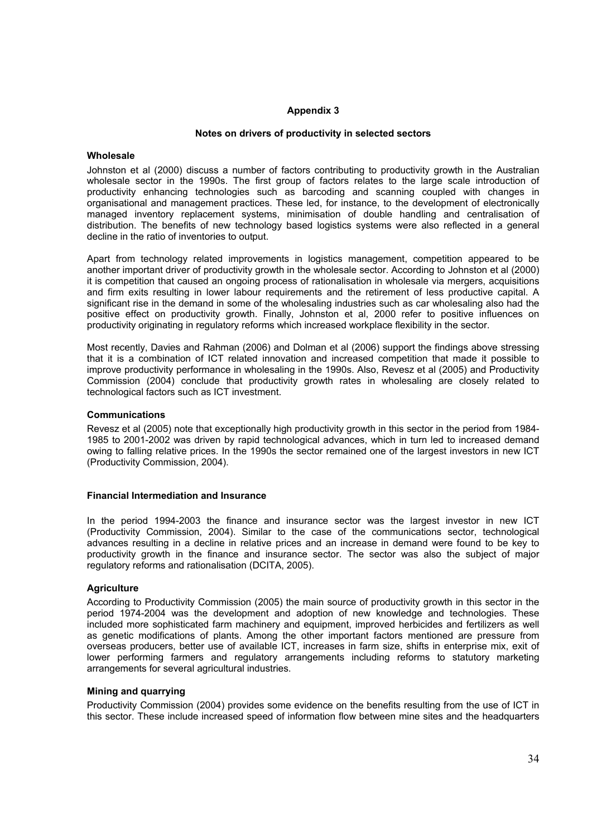### Appendix 3

### Notes on drivers of productivity in selected sectors

### Wholesale

Johnston et al (2000) discuss a number of factors contributing to productivity growth in the Australian wholesale sector in the 1990s. The first group of factors relates to the large scale introduction of productivity enhancing technologies such as barcoding and scanning coupled with changes in organisational and management practices. These led, for instance, to the development of electronically managed inventory replacement systems, minimisation of double handling and centralisation of distribution. The benefits of new technology based logistics systems were also reflected in a general decline in the ratio of inventories to output.

Apart from technology related improvements in logistics management, competition appeared to be another important driver of productivity growth in the wholesale sector. According to Johnston et al (2000) it is competition that caused an ongoing process of rationalisation in wholesale via mergers, acquisitions and firm exits resulting in lower labour requirements and the retirement of less productive capital. A significant rise in the demand in some of the wholesaling industries such as car wholesaling also had the positive effect on productivity growth. Finally, Johnston et al, 2000 refer to positive influences on productivity originating in regulatory reforms which increased workplace flexibility in the sector.

Most recently, Davies and Rahman (2006) and Dolman et al (2006) support the findings above stressing that it is a combination of ICT related innovation and increased competition that made it possible to improve productivity performance in wholesaling in the 1990s. Also, Revesz et al (2005) and Productivity Commission (2004) conclude that productivity growth rates in wholesaling are closely related to technological factors such as ICT investment.

### Communications

Revesz et al (2005) note that exceptionally high productivity growth in this sector in the period from 1984- 1985 to 2001-2002 was driven by rapid technological advances, which in turn led to increased demand owing to falling relative prices. In the 1990s the sector remained one of the largest investors in new ICT (Productivity Commission, 2004).

### Financial Intermediation and Insurance

In the period 1994-2003 the finance and insurance sector was the largest investor in new ICT (Productivity Commission, 2004). Similar to the case of the communications sector, technological advances resulting in a decline in relative prices and an increase in demand were found to be key to productivity growth in the finance and insurance sector. The sector was also the subject of major regulatory reforms and rationalisation (DCITA, 2005).

### **Agriculture**

According to Productivity Commission (2005) the main source of productivity growth in this sector in the period 1974-2004 was the development and adoption of new knowledge and technologies. These included more sophisticated farm machinery and equipment, improved herbicides and fertilizers as well as genetic modifications of plants. Among the other important factors mentioned are pressure from overseas producers, better use of available ICT, increases in farm size, shifts in enterprise mix, exit of lower performing farmers and regulatory arrangements including reforms to statutory marketing arrangements for several agricultural industries.

### Mining and quarrying

Productivity Commission (2004) provides some evidence on the benefits resulting from the use of ICT in this sector. These include increased speed of information flow between mine sites and the headquarters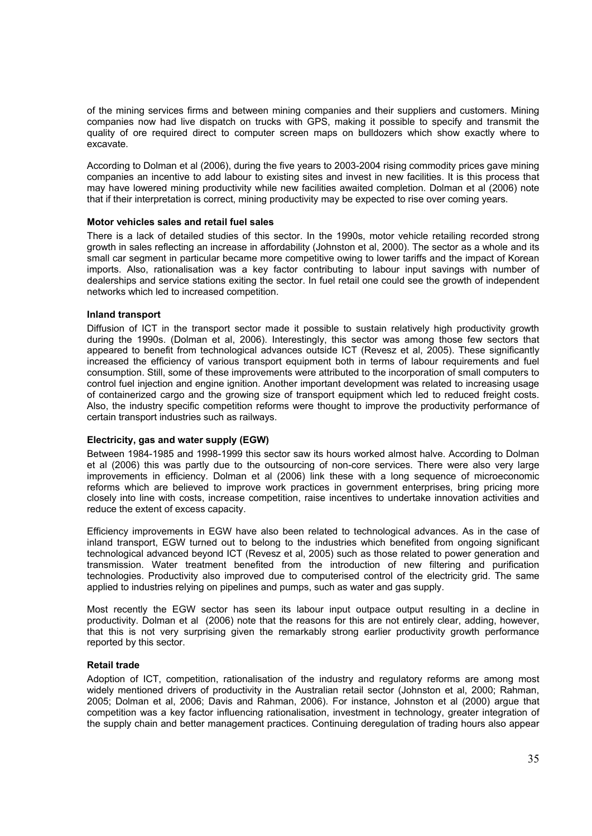of the mining services firms and between mining companies and their suppliers and customers. Mining companies now had live dispatch on trucks with GPS, making it possible to specify and transmit the quality of ore required direct to computer screen maps on bulldozers which show exactly where to excavate.

According to Dolman et al (2006), during the five years to 2003-2004 rising commodity prices gave mining companies an incentive to add labour to existing sites and invest in new facilities. It is this process that may have lowered mining productivity while new facilities awaited completion. Dolman et al (2006) note that if their interpretation is correct, mining productivity may be expected to rise over coming years.

### Motor vehicles sales and retail fuel sales

There is a lack of detailed studies of this sector. In the 1990s, motor vehicle retailing recorded strong growth in sales reflecting an increase in affordability (Johnston et al, 2000). The sector as a whole and its small car segment in particular became more competitive owing to lower tariffs and the impact of Korean imports. Also, rationalisation was a key factor contributing to labour input savings with number of dealerships and service stations exiting the sector. In fuel retail one could see the growth of independent networks which led to increased competition.

### Inland transport

Diffusion of ICT in the transport sector made it possible to sustain relatively high productivity growth during the 1990s. (Dolman et al, 2006). Interestingly, this sector was among those few sectors that appeared to benefit from technological advances outside ICT (Revesz et al, 2005). These significantly increased the efficiency of various transport equipment both in terms of labour requirements and fuel consumption. Still, some of these improvements were attributed to the incorporation of small computers to control fuel injection and engine ignition. Another important development was related to increasing usage of containerized cargo and the growing size of transport equipment which led to reduced freight costs. Also, the industry specific competition reforms were thought to improve the productivity performance of certain transport industries such as railways.

### Electricity, gas and water supply (EGW)

Between 1984-1985 and 1998-1999 this sector saw its hours worked almost halve. According to Dolman et al (2006) this was partly due to the outsourcing of non-core services. There were also very large improvements in efficiency. Dolman et al (2006) link these with a long sequence of microeconomic reforms which are believed to improve work practices in government enterprises, bring pricing more closely into line with costs, increase competition, raise incentives to undertake innovation activities and reduce the extent of excess capacity.

Efficiency improvements in EGW have also been related to technological advances. As in the case of inland transport, EGW turned out to belong to the industries which benefited from ongoing significant technological advanced beyond ICT (Revesz et al, 2005) such as those related to power generation and transmission. Water treatment benefited from the introduction of new filtering and purification technologies. Productivity also improved due to computerised control of the electricity grid. The same applied to industries relying on pipelines and pumps, such as water and gas supply.

Most recently the EGW sector has seen its labour input outpace output resulting in a decline in productivity. Dolman et al (2006) note that the reasons for this are not entirely clear, adding, however, that this is not very surprising given the remarkably strong earlier productivity growth performance reported by this sector.

### Retail trade

Adoption of ICT, competition, rationalisation of the industry and regulatory reforms are among most widely mentioned drivers of productivity in the Australian retail sector (Johnston et al, 2000; Rahman, 2005; Dolman et al, 2006; Davis and Rahman, 2006). For instance, Johnston et al (2000) argue that competition was a key factor influencing rationalisation, investment in technology, greater integration of the supply chain and better management practices. Continuing deregulation of trading hours also appear